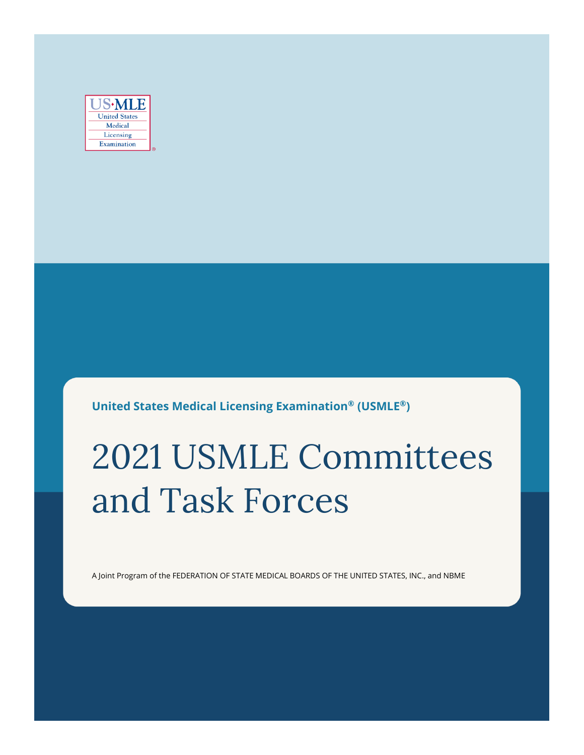| ·ML                  |
|----------------------|
| <b>United States</b> |
| Medical              |
| Licensing            |
| Examination          |

**United States Medical Licensing Examination® (USMLE®)**

# 2021 USMLE Committees and Task Forces

A Joint Program of the FEDERATION OF STATE MEDICAL BOARDS OF THE UNITED STATES, INC., and NBME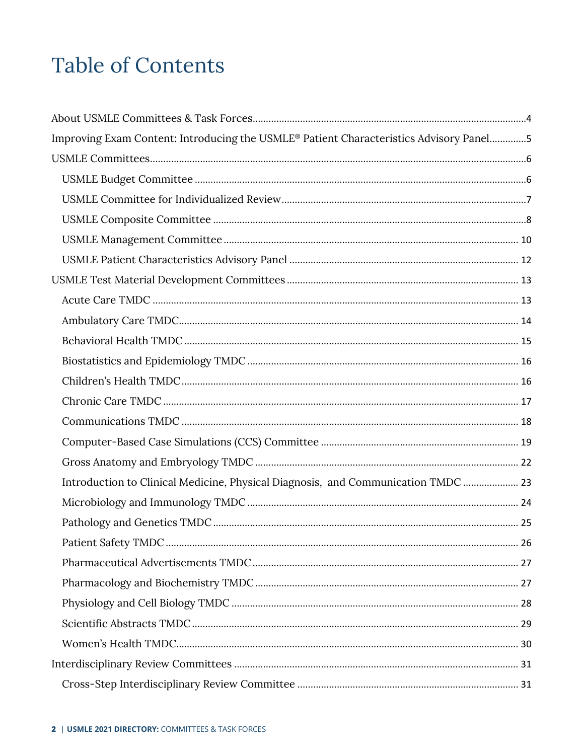## **Table of Contents**

| Improving Exam Content: Introducing the USMLE® Patient Characteristics Advisory Panel5 |  |
|----------------------------------------------------------------------------------------|--|
|                                                                                        |  |
|                                                                                        |  |
|                                                                                        |  |
|                                                                                        |  |
|                                                                                        |  |
|                                                                                        |  |
|                                                                                        |  |
|                                                                                        |  |
|                                                                                        |  |
|                                                                                        |  |
|                                                                                        |  |
|                                                                                        |  |
|                                                                                        |  |
|                                                                                        |  |
|                                                                                        |  |
|                                                                                        |  |
| Introduction to Clinical Medicine, Physical Diagnosis, and Communication TMDC  23      |  |
|                                                                                        |  |
|                                                                                        |  |
|                                                                                        |  |
|                                                                                        |  |
|                                                                                        |  |
|                                                                                        |  |
|                                                                                        |  |
|                                                                                        |  |
|                                                                                        |  |
|                                                                                        |  |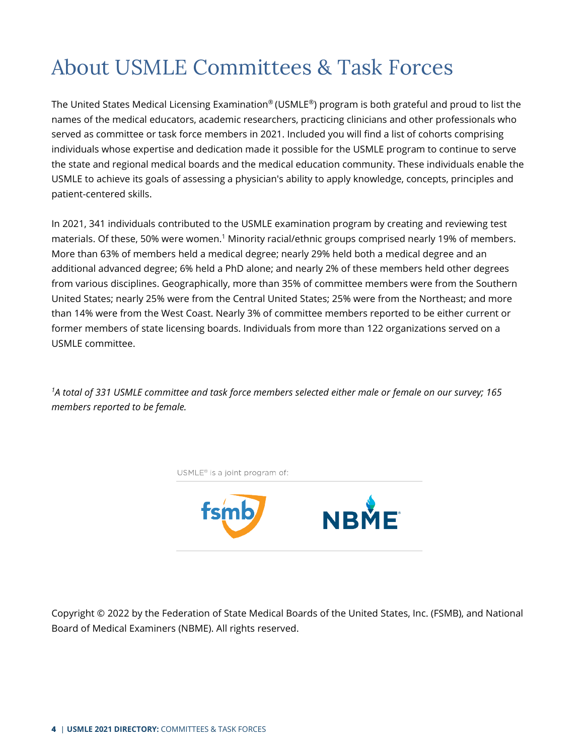## <span id="page-3-0"></span>About USMLE Committees & Task Forces

The United States Medical Licensing Examination® (USMLE®) program is both grateful and proud to list the names of the medical educators, academic researchers, practicing clinicians and other professionals who served as committee or task force members in 2021. Included you will find a list of cohorts comprising individuals whose expertise and dedication made it possible for the USMLE program to continue to serve the state and regional medical boards and the medical education community. These individuals enable the USMLE to achieve its goals of assessing a physician's ability to apply knowledge, concepts, principles and patient-centered skills.

In 2021, 341 individuals contributed to the USMLE examination program by creating and reviewing test materials. Of these, 50% were women.1 Minority racial/ethnic groups comprised nearly 19% of members. More than 63% of members held a medical degree; nearly 29% held both a medical degree and an additional advanced degree; 6% held a PhD alone; and nearly 2% of these members held other degrees from various disciplines. Geographically, more than 35% of committee members were from the Southern United States; nearly 25% were from the Central United States; 25% were from the Northeast; and more than 14% were from the West Coast. Nearly 3% of committee members reported to be either current or former members of state licensing boards. Individuals from more than 122 organizations served on a USMLE committee.

*1A total of 331 USMLE committee and task force members selected either male or female on our survey; 165 members reported to be female.*



Copyright © 2022 by the Federation of State Medical Boards of the United States, Inc. (FSMB), and National Board of Medical Examiners (NBME). All rights reserved.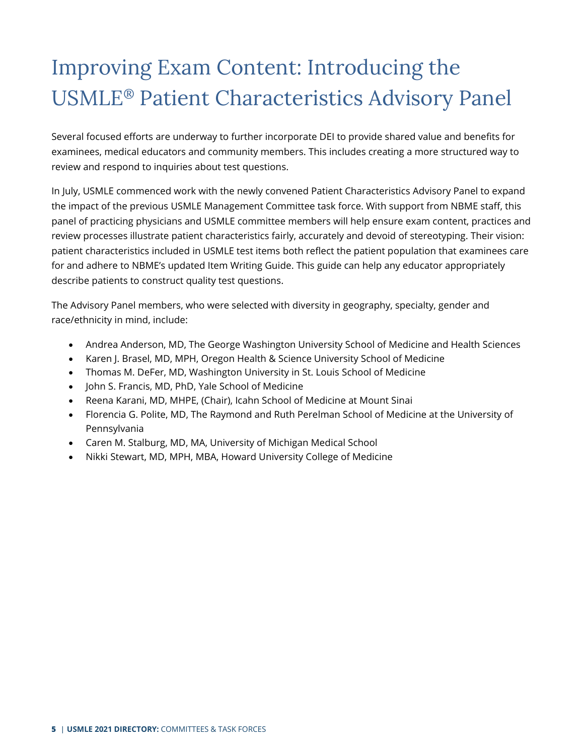## <span id="page-4-0"></span>Improving Exam Content: Introducing the USMLE® Patient Characteristics Advisory Panel

Several focused efforts are underway to further incorporate DEI to provide shared value and benefits for examinees, medical educators and community members. This includes creating a more structured way to review and respond to inquiries about test questions.

In July, USMLE commenced work with the newly convened Patient Characteristics Advisory Panel to expand the impact of the previous USMLE Management Committee task force. With support from NBME staff, this panel of practicing physicians and USMLE committee members will help ensure exam content, practices and review processes illustrate patient characteristics fairly, accurately and devoid of stereotyping. Their vision: patient characteristics included in USMLE test items both reflect the patient population that examinees care for and adhere to NBME's updated Item Writing Guide. This guide can help any educator appropriately describe patients to construct quality test questions.

The Advisory Panel members, who were selected with diversity in geography, specialty, gender and race/ethnicity in mind, include:

- Andrea Anderson, MD, The George Washington University School of Medicine and Health Sciences
- Karen J. Brasel, MD, MPH, Oregon Health & Science University School of Medicine
- Thomas M. DeFer, MD, Washington University in St. Louis School of Medicine
- John S. Francis, MD, PhD, Yale School of Medicine
- Reena Karani, MD, MHPE, (Chair), Icahn School of Medicine at Mount Sinai
- Florencia G. Polite, MD, The Raymond and Ruth Perelman School of Medicine at the University of Pennsylvania
- Caren M. Stalburg, MD, MA, University of Michigan Medical School
- Nikki Stewart, MD, MPH, MBA, Howard University College of Medicine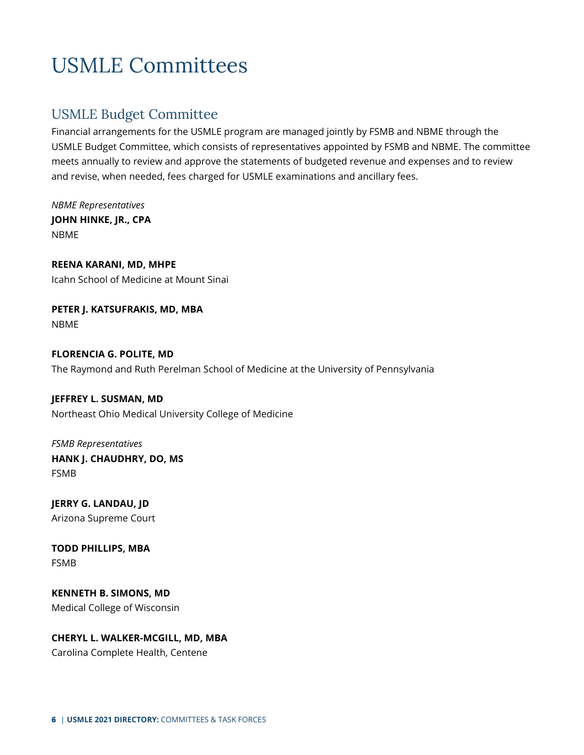## <span id="page-5-0"></span>USMLE Committees

## <span id="page-5-1"></span>USMLE Budget Committee

Financial arrangements for the USMLE program are managed jointly by FSMB and NBME through the USMLE Budget Committee, which consists of representatives appointed by FSMB and NBME. The committee meets annually to review and approve the statements of budgeted revenue and expenses and to review and revise, when needed, fees charged for USMLE examinations and ancillary fees.

*NBME Representatives* **JOHN HINKE, JR., CPA** NBME

**REENA KARANI, MD, MHPE** Icahn School of Medicine at Mount Sinai

**PETER J. KATSUFRAKIS, MD, MBA** NBME

**FLORENCIA G. POLITE, MD** The Raymond and Ruth Perelman School of Medicine at the University of Pennsylvania

**JEFFREY L. SUSMAN, MD** Northeast Ohio Medical University College of Medicine

*FSMB Representatives* **HANK J. CHAUDHRY, DO, MS** FSMB

**JERRY G. LANDAU, JD** Arizona Supreme Court

**TODD PHILLIPS, MBA** FSMB

**KENNETH B. SIMONS, MD** Medical College of Wisconsin

**CHERYL L. WALKER-MCGILL, MD, MBA** Carolina Complete Health, Centene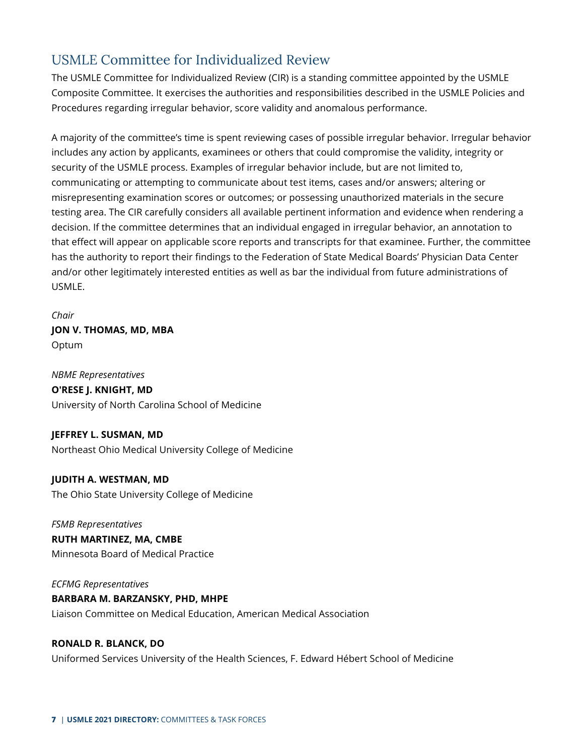## <span id="page-6-0"></span>USMLE Committee for Individualized Review

The USMLE Committee for Individualized Review (CIR) is a standing committee appointed by the USMLE Composite Committee. It exercises the authorities and responsibilities described in the USMLE Policies and Procedures regarding irregular behavior, score validity and anomalous performance.

A majority of the committee's time is spent reviewing cases of possible irregular behavior. Irregular behavior includes any action by applicants, examinees or others that could compromise the validity, integrity or security of the USMLE process. Examples of irregular behavior include, but are not limited to, communicating or attempting to communicate about test items, cases and/or answers; altering or misrepresenting examination scores or outcomes; or possessing unauthorized materials in the secure testing area. The CIR carefully considers all available pertinent information and evidence when rendering a decision. If the committee determines that an individual engaged in irregular behavior, an annotation to that effect will appear on applicable score reports and transcripts for that examinee. Further, the committee has the authority to report their findings to the Federation of State Medical Boards' Physician Data Center and/or other legitimately interested entities as well as bar the individual from future administrations of USMLE.

*Chair* **JON V. THOMAS, MD, MBA** Optum

*NBME Representatives* **O'RESE J. KNIGHT, MD** University of North Carolina School of Medicine

**JEFFREY L. SUSMAN, MD** Northeast Ohio Medical University College of Medicine

**JUDITH A. WESTMAN, MD** The Ohio State University College of Medicine

*FSMB Representatives* **RUTH MARTINEZ, MA, CMBE** Minnesota Board of Medical Practice

*ECFMG Representatives* **BARBARA M. BARZANSKY, PHD, MHPE** Liaison Committee on Medical Education, American Medical Association

## **RONALD R. BLANCK, DO**

Uniformed Services University of the Health Sciences, F. Edward Hébert School of Medicine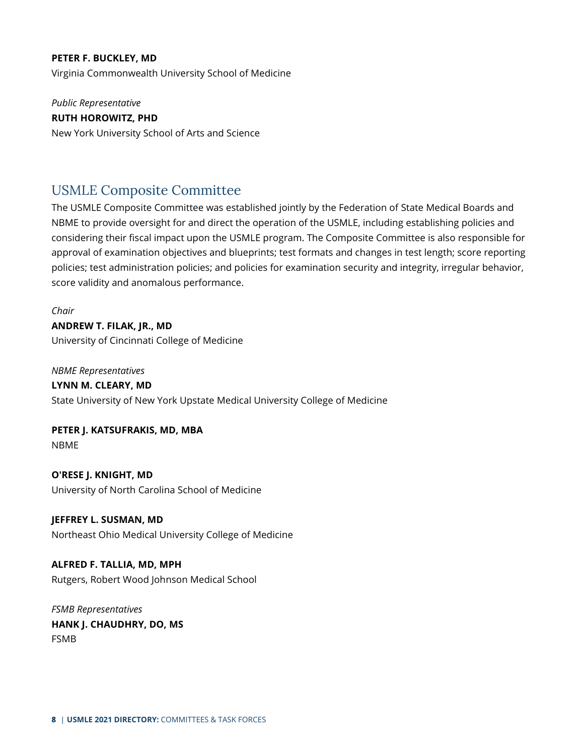#### **PETER F. BUCKLEY, MD**

Virginia Commonwealth University School of Medicine

*Public Representative* **RUTH HOROWITZ, PHD** New York University School of Arts and Science

### <span id="page-7-0"></span>USMLE Composite Committee

The USMLE Composite Committee was established jointly by the Federation of State Medical Boards and NBME to provide oversight for and direct the operation of the USMLE, including establishing policies and considering their fiscal impact upon the USMLE program. The Composite Committee is also responsible for approval of examination objectives and blueprints; test formats and changes in test length; score reporting policies; test administration policies; and policies for examination security and integrity, irregular behavior, score validity and anomalous performance.

*Chair* **ANDREW T. FILAK, JR., MD** University of Cincinnati College of Medicine

*NBME Representatives* **LYNN M. CLEARY, MD** State University of New York Upstate Medical University College of Medicine

**PETER J. KATSUFRAKIS, MD, MBA** NBME

**O'RESE J. KNIGHT, MD** University of North Carolina School of Medicine

**JEFFREY L. SUSMAN, MD** Northeast Ohio Medical University College of Medicine

**ALFRED F. TALLIA, MD, MPH** Rutgers, Robert Wood Johnson Medical School

*FSMB Representatives* **HANK J. CHAUDHRY, DO, MS** FSMB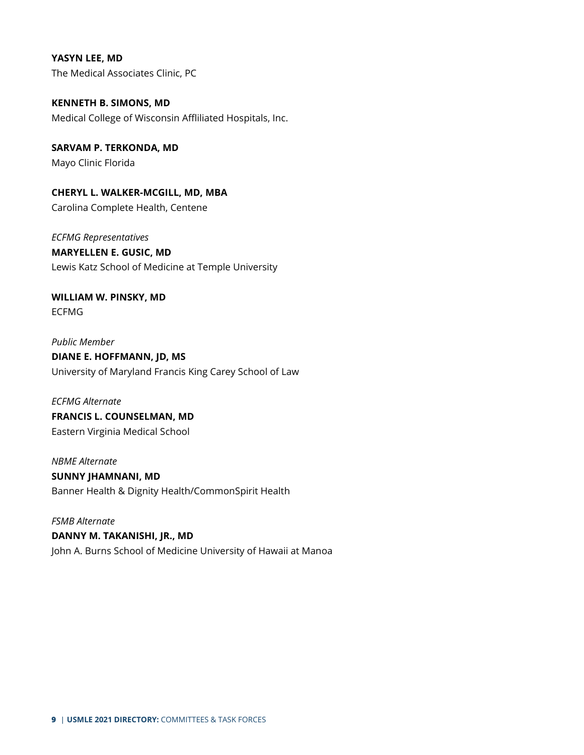**YASYN LEE, MD** The Medical Associates Clinic, PC

**KENNETH B. SIMONS, MD** Medical College of Wisconsin Affliliated Hospitals, Inc.

**SARVAM P. TERKONDA, MD** Mayo Clinic Florida

**CHERYL L. WALKER-MCGILL, MD, MBA** Carolina Complete Health, Centene

*ECFMG Representatives* **MARYELLEN E. GUSIC, MD** Lewis Katz School of Medicine at Temple University

**WILLIAM W. PINSKY, MD** ECFMG

*Public Member* **DIANE E. HOFFMANN, JD, MS** University of Maryland Francis King Carey School of Law

*ECFMG Alternate* **FRANCIS L. COUNSELMAN, MD** Eastern Virginia Medical School

*NBME Alternate* **SUNNY JHAMNANI, MD** Banner Health & Dignity Health/CommonSpirit Health

*FSMB Alternate* **DANNY M. TAKANISHI, JR., MD** John A. Burns School of Medicine University of Hawaii at Manoa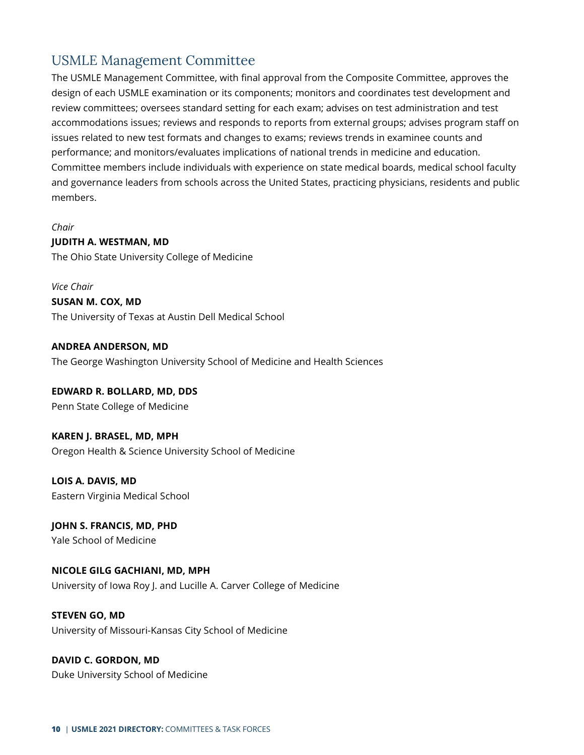## <span id="page-9-0"></span>USMLE Management Committee

The USMLE Management Committee, with final approval from the Composite Committee, approves the design of each USMLE examination or its components; monitors and coordinates test development and review committees; oversees standard setting for each exam; advises on test administration and test accommodations issues; reviews and responds to reports from external groups; advises program staff on issues related to new test formats and changes to exams; reviews trends in examinee counts and performance; and monitors/evaluates implications of national trends in medicine and education. Committee members include individuals with experience on state medical boards, medical school faculty and governance leaders from schools across the United States, practicing physicians, residents and public members.

*Chair* **JUDITH A. WESTMAN, MD** The Ohio State University College of Medicine

*Vice Chair* **SUSAN M. COX, MD** The University of Texas at Austin Dell Medical School

**ANDREA ANDERSON, MD** The George Washington University School of Medicine and Health Sciences

#### **EDWARD R. BOLLARD, MD, DDS**

Penn State College of Medicine

#### **KAREN J. BRASEL, MD, MPH**

Oregon Health & Science University School of Medicine

**LOIS A. DAVIS, MD** Eastern Virginia Medical School

**JOHN S. FRANCIS, MD, PHD** Yale School of Medicine

**NICOLE GILG GACHIANI, MD, MPH** University of Iowa Roy J. and Lucille A. Carver College of Medicine

**STEVEN GO, MD** University of Missouri-Kansas City School of Medicine

**DAVID C. GORDON, MD** Duke University School of Medicine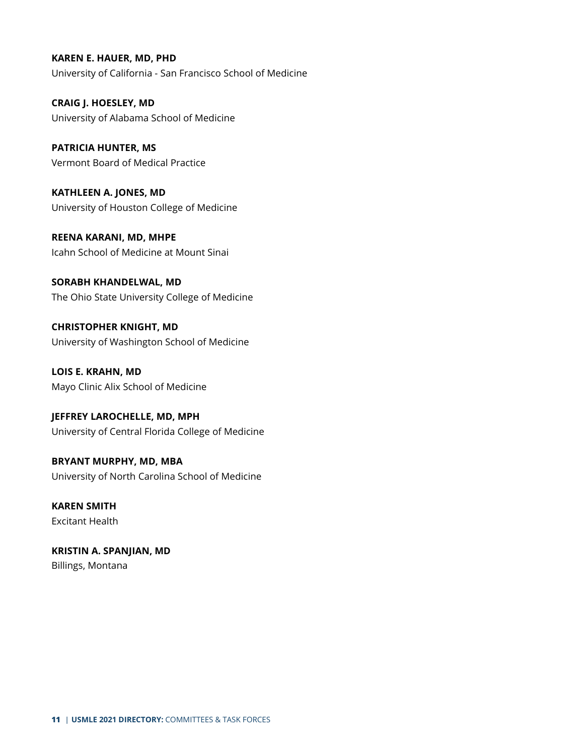**KAREN E. HAUER, MD, PHD** University of California - San Francisco School of Medicine

**CRAIG J. HOESLEY, MD** University of Alabama School of Medicine

**PATRICIA HUNTER, MS** Vermont Board of Medical Practice

**KATHLEEN A. JONES, MD** University of Houston College of Medicine

**REENA KARANI, MD, MHPE** Icahn School of Medicine at Mount Sinai

**SORABH KHANDELWAL, MD** The Ohio State University College of Medicine

**CHRISTOPHER KNIGHT, MD** University of Washington School of Medicine

**LOIS E. KRAHN, MD** Mayo Clinic Alix School of Medicine

**JEFFREY LAROCHELLE, MD, MPH** University of Central Florida College of Medicine

**BRYANT MURPHY, MD, MBA** University of North Carolina School of Medicine

**KAREN SMITH** Excitant Health

**KRISTIN A. SPANJIAN, MD** Billings, Montana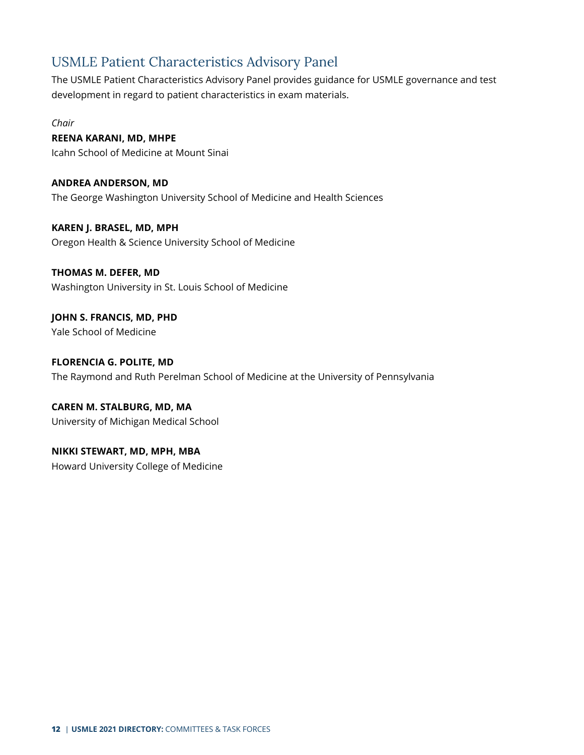## <span id="page-11-0"></span>USMLE Patient Characteristics Advisory Panel

The USMLE Patient Characteristics Advisory Panel provides guidance for USMLE governance and test development in regard to patient characteristics in exam materials.

*Chair*

#### **REENA KARANI, MD, MHPE**

Icahn School of Medicine at Mount Sinai

**ANDREA ANDERSON, MD** The George Washington University School of Medicine and Health Sciences

**KAREN J. BRASEL, MD, MPH** Oregon Health & Science University School of Medicine

#### **THOMAS M. DEFER, MD**

Washington University in St. Louis School of Medicine

**JOHN S. FRANCIS, MD, PHD** Yale School of Medicine

**FLORENCIA G. POLITE, MD** The Raymond and Ruth Perelman School of Medicine at the University of Pennsylvania

**CAREN M. STALBURG, MD, MA** University of Michigan Medical School

**NIKKI STEWART, MD, MPH, MBA** Howard University College of Medicine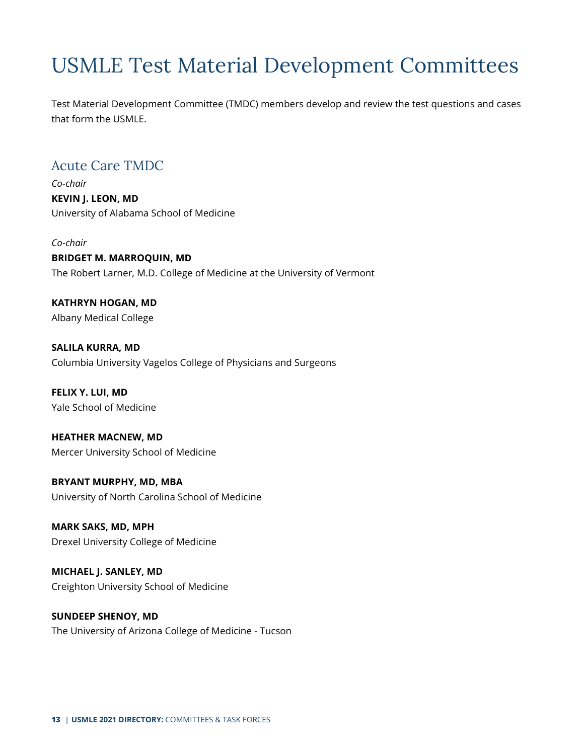## <span id="page-12-0"></span>USMLE Test Material Development Committees

Test Material Development Committee (TMDC) members develop and review the test questions and cases that form the USMLE.

## <span id="page-12-1"></span>Acute Care TMDC

*Co-chair* **KEVIN J. LEON, MD** University of Alabama School of Medicine

*Co-chair* **BRIDGET M. MARROQUIN, MD** The Robert Larner, M.D. College of Medicine at the University of Vermont

**KATHRYN HOGAN, MD** Albany Medical College

**SALILA KURRA, MD** Columbia University Vagelos College of Physicians and Surgeons

**FELIX Y. LUI, MD** Yale School of Medicine

**HEATHER MACNEW, MD** Mercer University School of Medicine

**BRYANT MURPHY, MD, MBA** University of North Carolina School of Medicine

**MARK SAKS, MD, MPH** Drexel University College of Medicine

**MICHAEL J. SANLEY, MD** Creighton University School of Medicine

**SUNDEEP SHENOY, MD** The University of Arizona College of Medicine - Tucson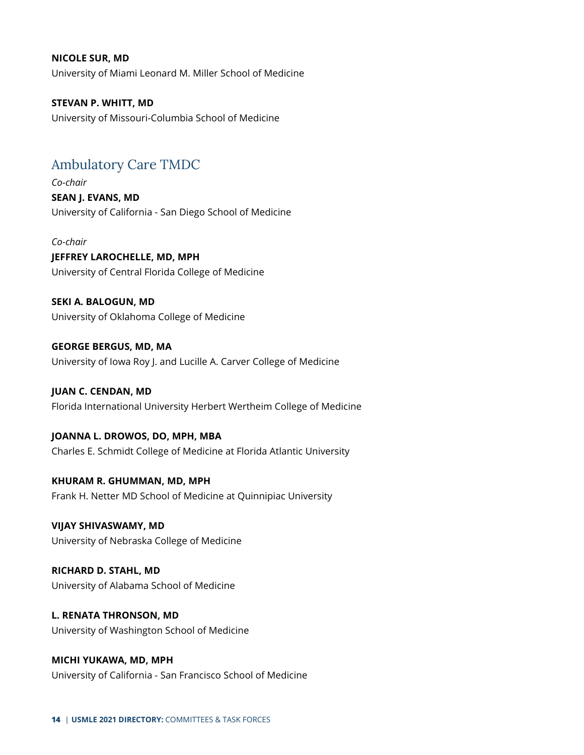#### **NICOLE SUR, MD**

University of Miami Leonard M. Miller School of Medicine

**STEVAN P. WHITT, MD** University of Missouri-Columbia School of Medicine

## <span id="page-13-0"></span>Ambulatory Care TMDC

*Co-chair* **SEAN J. EVANS, MD** University of California - San Diego School of Medicine

*Co-chair* **JEFFREY LAROCHELLE, MD, MPH** University of Central Florida College of Medicine

**SEKI A. BALOGUN, MD** University of Oklahoma College of Medicine

**GEORGE BERGUS, MD, MA** University of Iowa Roy J. and Lucille A. Carver College of Medicine

**JUAN C. CENDAN, MD** Florida International University Herbert Wertheim College of Medicine

**JOANNA L. DROWOS, DO, MPH, MBA** Charles E. Schmidt College of Medicine at Florida Atlantic University

**KHURAM R. GHUMMAN, MD, MPH** Frank H. Netter MD School of Medicine at Quinnipiac University

**VIJAY SHIVASWAMY, MD** University of Nebraska College of Medicine

**RICHARD D. STAHL, MD** University of Alabama School of Medicine

**L. RENATA THRONSON, MD** University of Washington School of Medicine

**MICHI YUKAWA, MD, MPH** University of California - San Francisco School of Medicine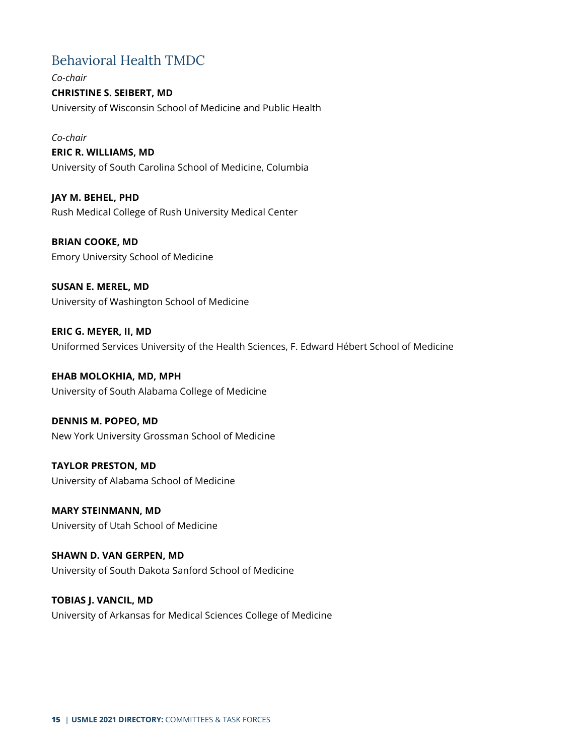## <span id="page-14-0"></span>Behavioral Health TMDC

*Co-chair* **CHRISTINE S. SEIBERT, MD** University of Wisconsin School of Medicine and Public Health

*Co-chair*

### **ERIC R. WILLIAMS, MD** University of South Carolina School of Medicine, Columbia

**JAY M. BEHEL, PHD** Rush Medical College of Rush University Medical Center

**BRIAN COOKE, MD** Emory University School of Medicine

**SUSAN E. MEREL, MD** University of Washington School of Medicine

**ERIC G. MEYER, II, MD** Uniformed Services University of the Health Sciences, F. Edward Hébert School of Medicine

**EHAB MOLOKHIA, MD, MPH** University of South Alabama College of Medicine

**DENNIS M. POPEO, MD** New York University Grossman School of Medicine

**TAYLOR PRESTON, MD** University of Alabama School of Medicine

**MARY STEINMANN, MD** University of Utah School of Medicine

**SHAWN D. VAN GERPEN, MD** University of South Dakota Sanford School of Medicine

**TOBIAS J. VANCIL, MD** University of Arkansas for Medical Sciences College of Medicine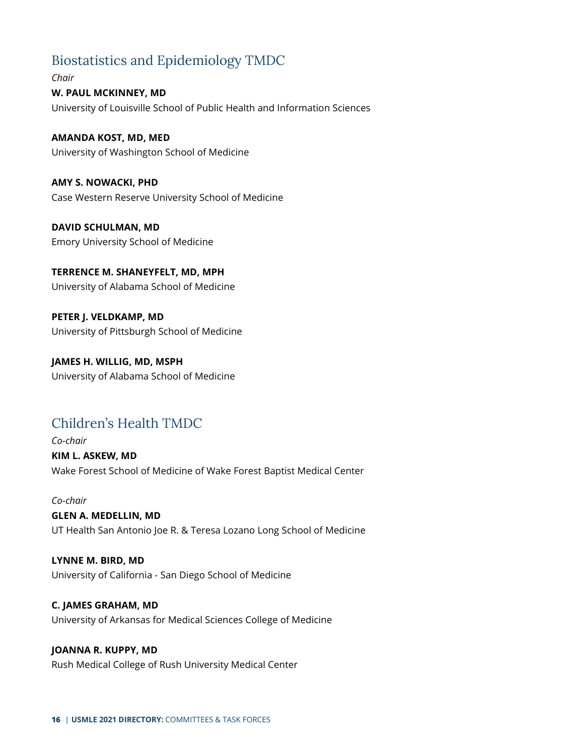## <span id="page-15-0"></span>Biostatistics and Epidemiology TMDC

*Chair* **W. PAUL MCKINNEY, MD** University of Louisville School of Public Health and Information Sciences

**AMANDA KOST, MD, MED** University of Washington School of Medicine

**AMY S. NOWACKI, PHD** Case Western Reserve University School of Medicine

**DAVID SCHULMAN, MD** Emory University School of Medicine

**TERRENCE M. SHANEYFELT, MD, MPH** University of Alabama School of Medicine

**PETER J. VELDKAMP, MD** University of Pittsburgh School of Medicine

**JAMES H. WILLIG, MD, MSPH** University of Alabama School of Medicine

## <span id="page-15-1"></span>Children's Health TMDC

*Co-chair* **KIM L. ASKEW, MD** Wake Forest School of Medicine of Wake Forest Baptist Medical Center

*Co-chair* **GLEN A. MEDELLIN, MD** UT Health San Antonio Joe R. & Teresa Lozano Long School of Medicine

**LYNNE M. BIRD, MD** University of California - San Diego School of Medicine

**C. JAMES GRAHAM, MD** University of Arkansas for Medical Sciences College of Medicine

**JOANNA R. KUPPY, MD** Rush Medical College of Rush University Medical Center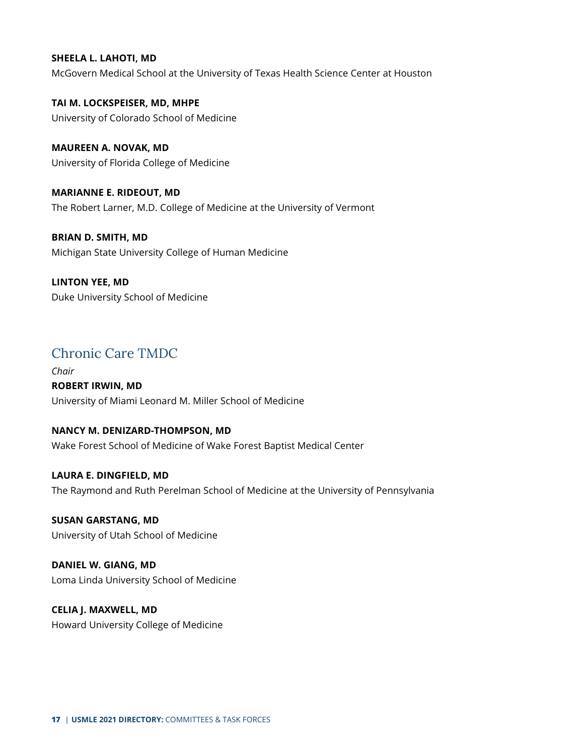#### **SHEELA L. LAHOTI, MD**

McGovern Medical School at the University of Texas Health Science Center at Houston

**TAI M. LOCKSPEISER, MD, MHPE** University of Colorado School of Medicine

**MAUREEN A. NOVAK, MD** University of Florida College of Medicine

**MARIANNE E. RIDEOUT, MD** The Robert Larner, M.D. College of Medicine at the University of Vermont

**BRIAN D. SMITH, MD** Michigan State University College of Human Medicine

**LINTON YEE, MD** Duke University School of Medicine

## <span id="page-16-0"></span>Chronic Care TMDC

*Chair* **ROBERT IRWIN, MD** University of Miami Leonard M. Miller School of Medicine

#### **NANCY M. DENIZARD-THOMPSON, MD**

Wake Forest School of Medicine of Wake Forest Baptist Medical Center

**LAURA E. DINGFIELD, MD** The Raymond and Ruth Perelman School of Medicine at the University of Pennsylvania

**SUSAN GARSTANG, MD** University of Utah School of Medicine

**DANIEL W. GIANG, MD** Loma Linda University School of Medicine

**CELIA J. MAXWELL, MD** Howard University College of Medicine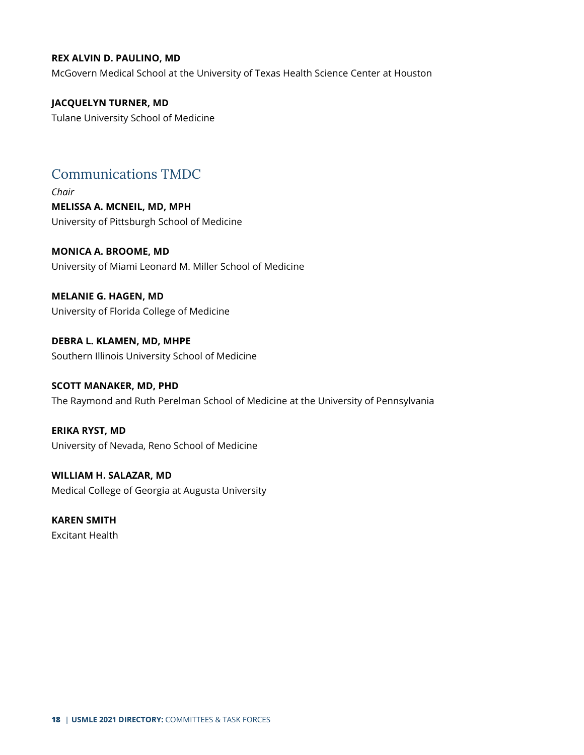#### **REX ALVIN D. PAULINO, MD**

McGovern Medical School at the University of Texas Health Science Center at Houston

#### **JACQUELYN TURNER, MD**

Tulane University School of Medicine

## <span id="page-17-0"></span>Communications TMDC

*Chair* **MELISSA A. MCNEIL, MD, MPH** University of Pittsburgh School of Medicine

**MONICA A. BROOME, MD** University of Miami Leonard M. Miller School of Medicine

**MELANIE G. HAGEN, MD** University of Florida College of Medicine

**DEBRA L. KLAMEN, MD, MHPE** Southern Illinois University School of Medicine

### **SCOTT MANAKER, MD, PHD** The Raymond and Ruth Perelman School of Medicine at the University of Pennsylvania

**ERIKA RYST, MD** University of Nevada, Reno School of Medicine

**WILLIAM H. SALAZAR, MD** Medical College of Georgia at Augusta University

**KAREN SMITH** Excitant Health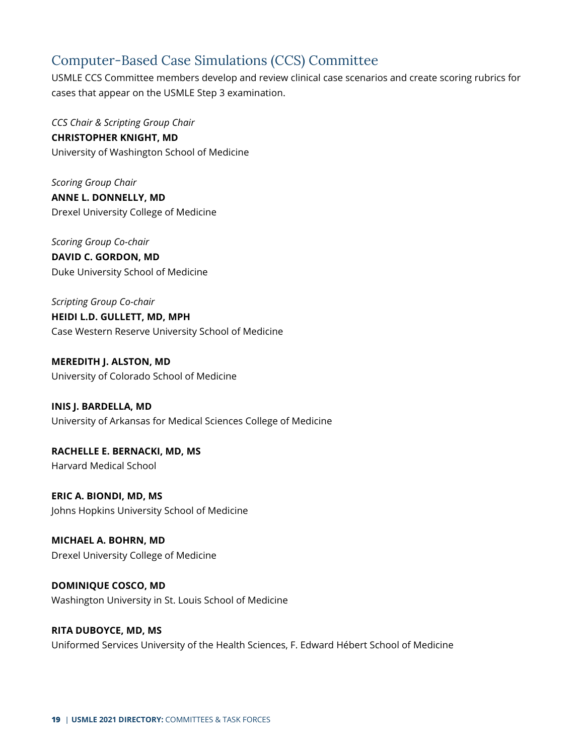## <span id="page-18-0"></span>Computer-Based Case Simulations (CCS) Committee

USMLE CCS Committee members develop and review clinical case scenarios and create scoring rubrics for cases that appear on the USMLE Step 3 examination.

*CCS Chair & Scripting Group Chair* **CHRISTOPHER KNIGHT, MD** University of Washington School of Medicine

*Scoring Group Chair* **ANNE L. DONNELLY, MD** Drexel University College of Medicine

*Scoring Group Co-chair* **DAVID C. GORDON, MD** Duke University School of Medicine

*Scripting Group Co-chair* **HEIDI L.D. GULLETT, MD, MPH** Case Western Reserve University School of Medicine

**MEREDITH J. ALSTON, MD** University of Colorado School of Medicine

**INIS J. BARDELLA, MD** University of Arkansas for Medical Sciences College of Medicine

**RACHELLE E. BERNACKI, MD, MS** Harvard Medical School

**ERIC A. BIONDI, MD, MS** Johns Hopkins University School of Medicine

**MICHAEL A. BOHRN, MD** Drexel University College of Medicine

**DOMINIQUE COSCO, MD** Washington University in St. Louis School of Medicine

#### **RITA DUBOYCE, MD, MS** Uniformed Services University of the Health Sciences, F. Edward Hébert School of Medicine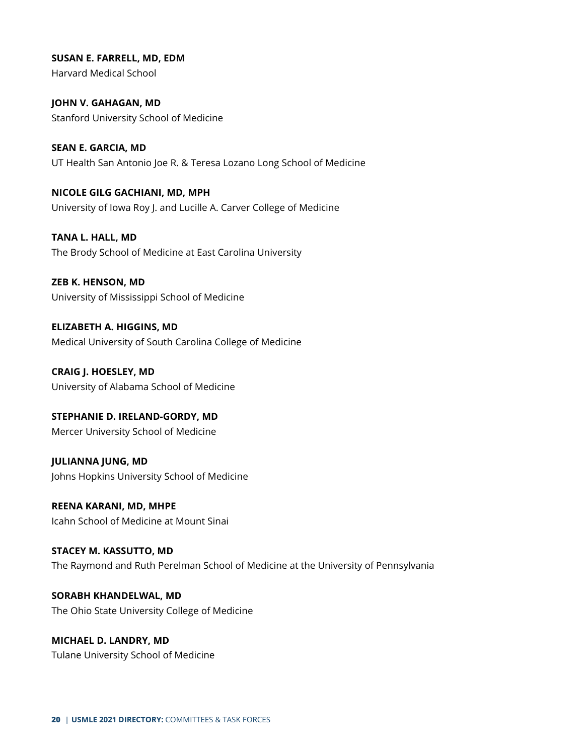**SUSAN E. FARRELL, MD, EDM** Harvard Medical School

**JOHN V. GAHAGAN, MD** Stanford University School of Medicine

**SEAN E. GARCIA, MD** UT Health San Antonio Joe R. & Teresa Lozano Long School of Medicine

**NICOLE GILG GACHIANI, MD, MPH** University of Iowa Roy J. and Lucille A. Carver College of Medicine

**TANA L. HALL, MD** The Brody School of Medicine at East Carolina University

**ZEB K. HENSON, MD** University of Mississippi School of Medicine

**ELIZABETH A. HIGGINS, MD** Medical University of South Carolina College of Medicine

**CRAIG J. HOESLEY, MD** University of Alabama School of Medicine

**STEPHANIE D. IRELAND-GORDY, MD** Mercer University School of Medicine

**JULIANNA JUNG, MD** Johns Hopkins University School of Medicine

**REENA KARANI, MD, MHPE** Icahn School of Medicine at Mount Sinai

**STACEY M. KASSUTTO, MD** The Raymond and Ruth Perelman School of Medicine at the University of Pennsylvania

**SORABH KHANDELWAL, MD** The Ohio State University College of Medicine

**MICHAEL D. LANDRY, MD** Tulane University School of Medicine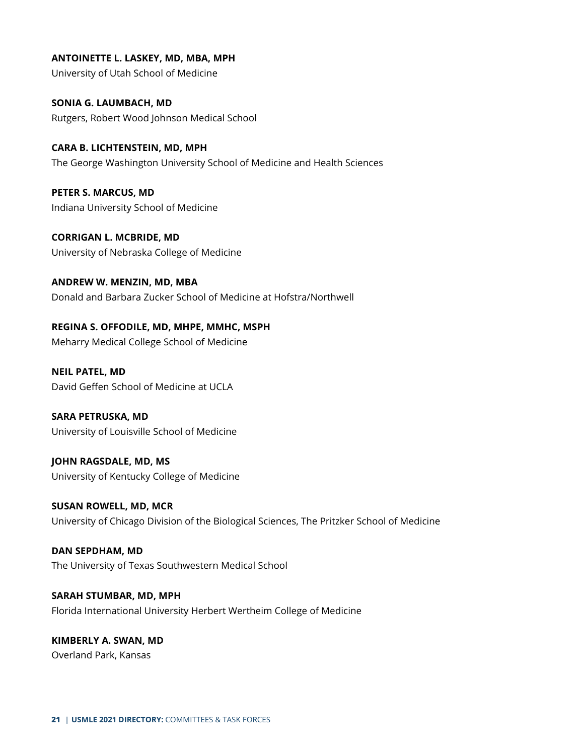**ANTOINETTE L. LASKEY, MD, MBA, MPH** University of Utah School of Medicine

**SONIA G. LAUMBACH, MD** Rutgers, Robert Wood Johnson Medical School

**CARA B. LICHTENSTEIN, MD, MPH** The George Washington University School of Medicine and Health Sciences

**PETER S. MARCUS, MD** Indiana University School of Medicine

**CORRIGAN L. MCBRIDE, MD** University of Nebraska College of Medicine

**ANDREW W. MENZIN, MD, MBA** Donald and Barbara Zucker School of Medicine at Hofstra/Northwell

**REGINA S. OFFODILE, MD, MHPE, MMHC, MSPH** Meharry Medical College School of Medicine

**NEIL PATEL, MD** David Geffen School of Medicine at UCLA

**SARA PETRUSKA, MD** University of Louisville School of Medicine

**JOHN RAGSDALE, MD, MS** University of Kentucky College of Medicine

**SUSAN ROWELL, MD, MCR** University of Chicago Division of the Biological Sciences, The Pritzker School of Medicine

**DAN SEPDHAM, MD** The University of Texas Southwestern Medical School

**SARAH STUMBAR, MD, MPH** Florida International University Herbert Wertheim College of Medicine

**KIMBERLY A. SWAN, MD** Overland Park, Kansas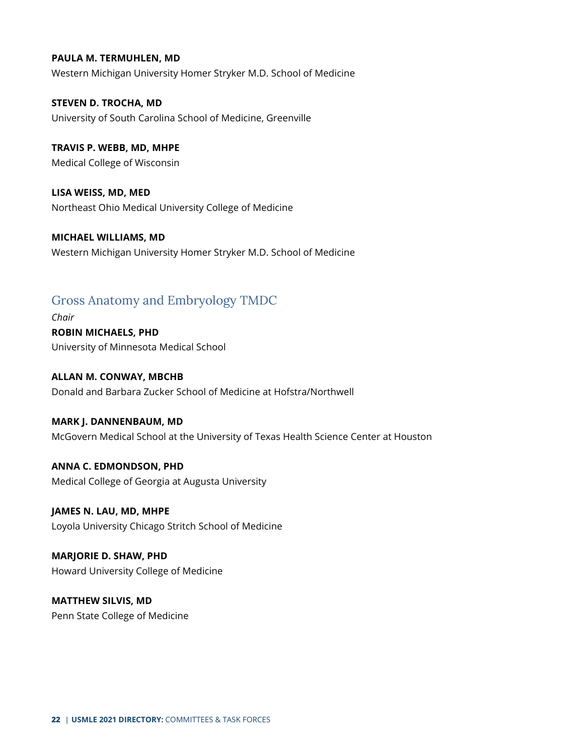#### **PAULA M. TERMUHLEN, MD**

Western Michigan University Homer Stryker M.D. School of Medicine

**STEVEN D. TROCHA, MD** University of South Carolina School of Medicine, Greenville

**TRAVIS P. WEBB, MD, MHPE** Medical College of Wisconsin

**LISA WEISS, MD, MED** Northeast Ohio Medical University College of Medicine

**MICHAEL WILLIAMS, MD** Western Michigan University Homer Stryker M.D. School of Medicine

### <span id="page-21-0"></span>Gross Anatomy and Embryology TMDC

*Chair* **ROBIN MICHAELS, PHD** University of Minnesota Medical School

**ALLAN M. CONWAY, MBCHB** Donald and Barbara Zucker School of Medicine at Hofstra/Northwell

**MARK J. DANNENBAUM, MD** McGovern Medical School at the University of Texas Health Science Center at Houston

**ANNA C. EDMONDSON, PHD** Medical College of Georgia at Augusta University

**JAMES N. LAU, MD, MHPE** Loyola University Chicago Stritch School of Medicine

**MARJORIE D. SHAW, PHD** Howard University College of Medicine

**MATTHEW SILVIS, MD** Penn State College of Medicine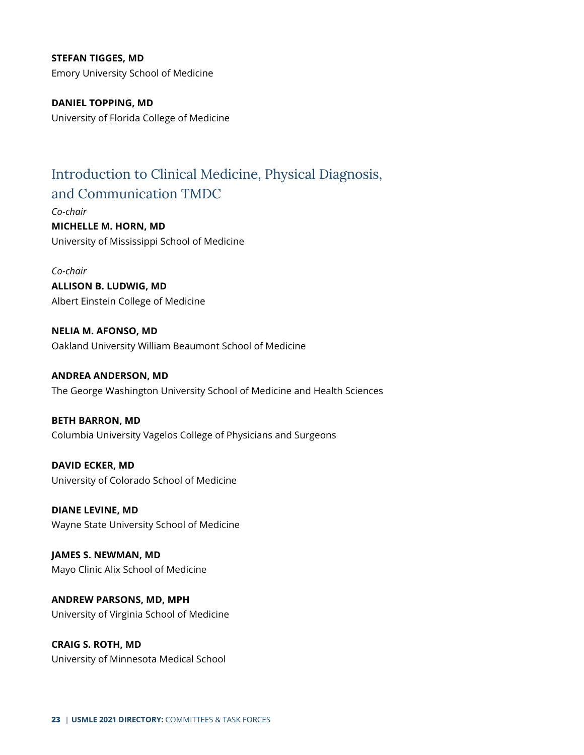**STEFAN TIGGES, MD** Emory University School of Medicine

**DANIEL TOPPING, MD** University of Florida College of Medicine

## <span id="page-22-0"></span>Introduction to Clinical Medicine, Physical Diagnosis, and Communication TMDC

*Co-chair* **MICHELLE M. HORN, MD**

University of Mississippi School of Medicine

*Co-chair* **ALLISON B. LUDWIG, MD** Albert Einstein College of Medicine

**NELIA M. AFONSO, MD** Oakland University William Beaumont School of Medicine

**ANDREA ANDERSON, MD** The George Washington University School of Medicine and Health Sciences

**BETH BARRON, MD** Columbia University Vagelos College of Physicians and Surgeons

**DAVID ECKER, MD** University of Colorado School of Medicine

**DIANE LEVINE, MD** Wayne State University School of Medicine

**JAMES S. NEWMAN, MD** Mayo Clinic Alix School of Medicine

**ANDREW PARSONS, MD, MPH** University of Virginia School of Medicine

**CRAIG S. ROTH, MD** University of Minnesota Medical School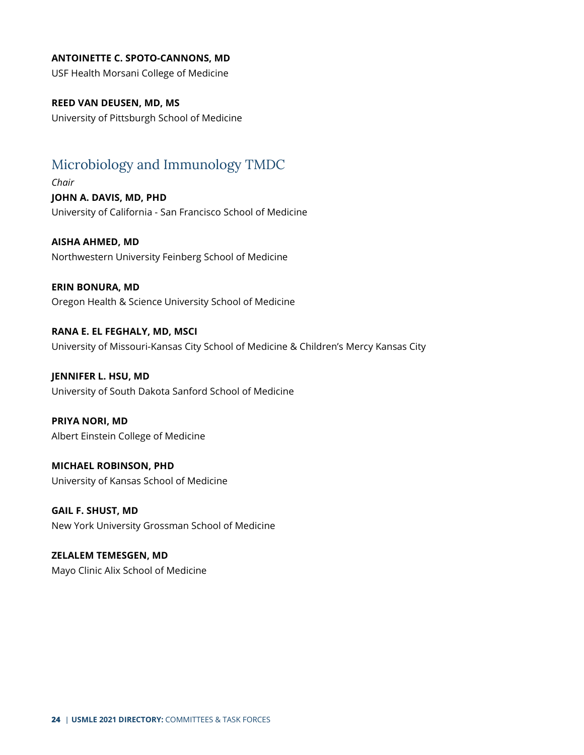#### **ANTOINETTE C. SPOTO-CANNONS, MD**

USF Health Morsani College of Medicine

#### **REED VAN DEUSEN, MD, MS**

University of Pittsburgh School of Medicine

## <span id="page-23-0"></span>Microbiology and Immunology TMDC

*Chair* **JOHN A. DAVIS, MD, PHD** University of California - San Francisco School of Medicine

**AISHA AHMED, MD** Northwestern University Feinberg School of Medicine

**ERIN BONURA, MD** Oregon Health & Science University School of Medicine

**RANA E. EL FEGHALY, MD, MSCI** University of Missouri-Kansas City School of Medicine & Children's Mercy Kansas City

**JENNIFER L. HSU, MD** University of South Dakota Sanford School of Medicine

**PRIYA NORI, MD** Albert Einstein College of Medicine

**MICHAEL ROBINSON, PHD** University of Kansas School of Medicine

**GAIL F. SHUST, MD** New York University Grossman School of Medicine

**ZELALEM TEMESGEN, MD** Mayo Clinic Alix School of Medicine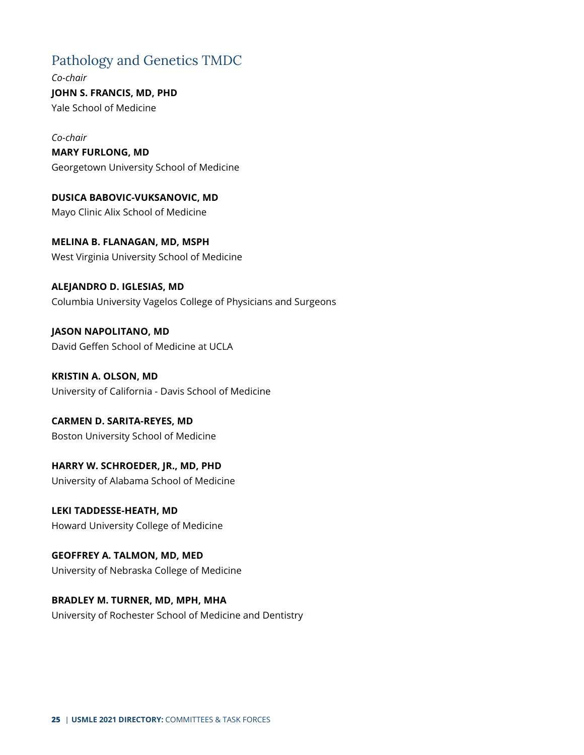## <span id="page-24-0"></span>Pathology and Genetics TMDC

*Co-chair* **JOHN S. FRANCIS, MD, PHD** Yale School of Medicine

*Co-chair* **MARY FURLONG, MD** Georgetown University School of Medicine

**DUSICA BABOVIC-VUKSANOVIC, MD** Mayo Clinic Alix School of Medicine

**MELINA B. FLANAGAN, MD, MSPH** West Virginia University School of Medicine

**ALEJANDRO D. IGLESIAS, MD** Columbia University Vagelos College of Physicians and Surgeons

**JASON NAPOLITANO, MD** David Geffen School of Medicine at UCLA

**KRISTIN A. OLSON, MD** University of California - Davis School of Medicine

**CARMEN D. SARITA-REYES, MD** Boston University School of Medicine

**HARRY W. SCHROEDER, JR., MD, PHD** University of Alabama School of Medicine

**LEKI TADDESSE-HEATH, MD** Howard University College of Medicine

**GEOFFREY A. TALMON, MD, MED** University of Nebraska College of Medicine

**BRADLEY M. TURNER, MD, MPH, MHA** University of Rochester School of Medicine and Dentistry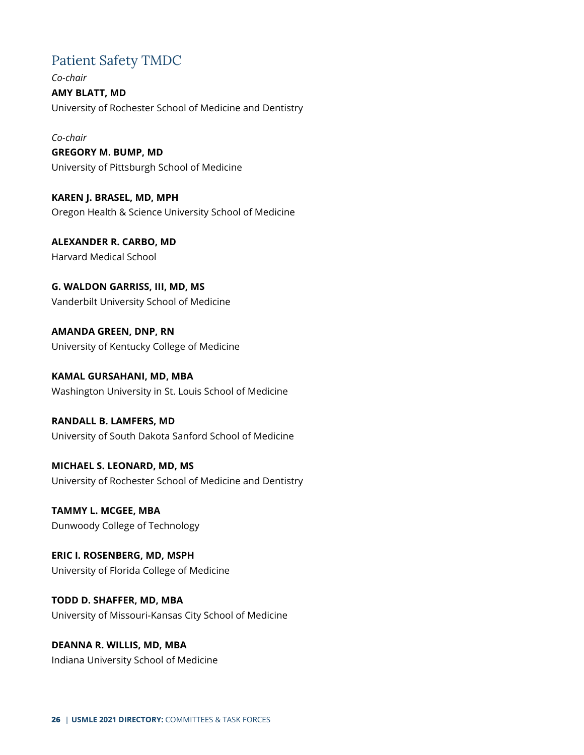## <span id="page-25-0"></span>Patient Safety TMDC

*Co-chair* **AMY BLATT, MD** University of Rochester School of Medicine and Dentistry

*Co-chair*

**GREGORY M. BUMP, MD** University of Pittsburgh School of Medicine

**KAREN J. BRASEL, MD, MPH** Oregon Health & Science University School of Medicine

**ALEXANDER R. CARBO, MD** Harvard Medical School

**G. WALDON GARRISS, III, MD, MS** Vanderbilt University School of Medicine

**AMANDA GREEN, DNP, RN** University of Kentucky College of Medicine

**KAMAL GURSAHANI, MD, MBA** Washington University in St. Louis School of Medicine

**RANDALL B. LAMFERS, MD** University of South Dakota Sanford School of Medicine

**MICHAEL S. LEONARD, MD, MS** University of Rochester School of Medicine and Dentistry

**TAMMY L. MCGEE, MBA** Dunwoody College of Technology

**ERIC I. ROSENBERG, MD, MSPH** University of Florida College of Medicine

**TODD D. SHAFFER, MD, MBA** University of Missouri-Kansas City School of Medicine

**DEANNA R. WILLIS, MD, MBA** Indiana University School of Medicine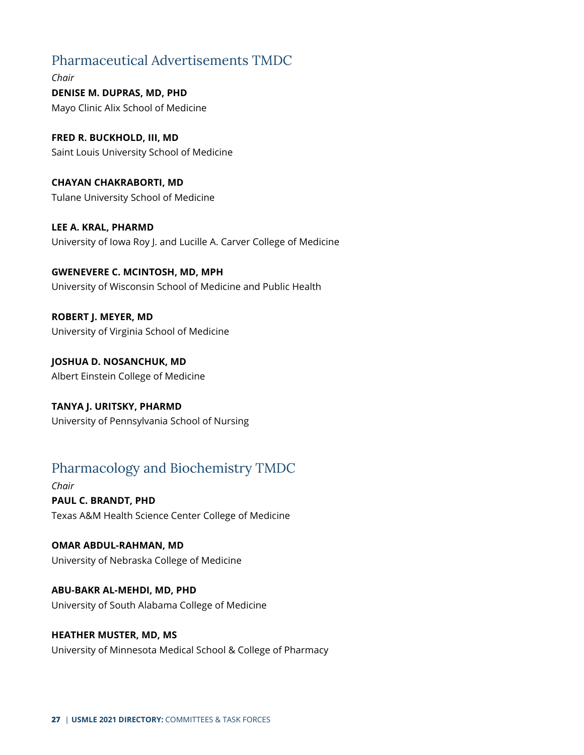## <span id="page-26-0"></span>Pharmaceutical Advertisements TMDC

*Chair* **DENISE M. DUPRAS, MD, PHD** Mayo Clinic Alix School of Medicine

**FRED R. BUCKHOLD, III, MD** Saint Louis University School of Medicine

**CHAYAN CHAKRABORTI, MD** Tulane University School of Medicine

**LEE A. KRAL, PHARMD** University of Iowa Roy J. and Lucille A. Carver College of Medicine

**GWENEVERE C. MCINTOSH, MD, MPH** University of Wisconsin School of Medicine and Public Health

**ROBERT J. MEYER, MD** University of Virginia School of Medicine

**JOSHUA D. NOSANCHUK, MD** Albert Einstein College of Medicine

**TANYA J. URITSKY, PHARMD** University of Pennsylvania School of Nursing

## <span id="page-26-1"></span>Pharmacology and Biochemistry TMDC

*Chair* **PAUL C. BRANDT, PHD** Texas A&M Health Science Center College of Medicine

**OMAR ABDUL-RAHMAN, MD** University of Nebraska College of Medicine

**ABU-BAKR AL-MEHDI, MD, PHD** University of South Alabama College of Medicine

#### **HEATHER MUSTER, MD, MS**

University of Minnesota Medical School & College of Pharmacy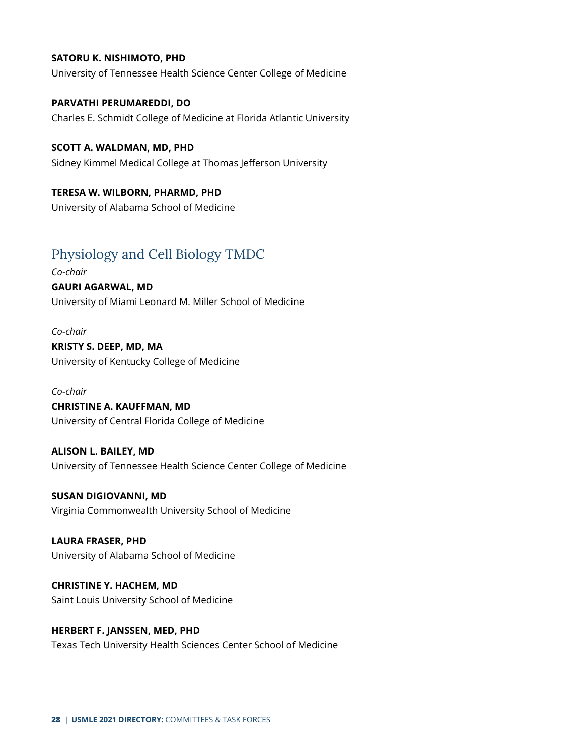#### **SATORU K. NISHIMOTO, PHD**

University of Tennessee Health Science Center College of Medicine

**PARVATHI PERUMAREDDI, DO** Charles E. Schmidt College of Medicine at Florida Atlantic University

**SCOTT A. WALDMAN, MD, PHD**

Sidney Kimmel Medical College at Thomas Jefferson University

#### **TERESA W. WILBORN, PHARMD, PHD**

University of Alabama School of Medicine

## <span id="page-27-0"></span>Physiology and Cell Biology TMDC

*Co-chair* **GAURI AGARWAL, MD** University of Miami Leonard M. Miller School of Medicine

*Co-chair* **KRISTY S. DEEP, MD, MA** University of Kentucky College of Medicine

*Co-chair* **CHRISTINE A. KAUFFMAN, MD** University of Central Florida College of Medicine

**ALISON L. BAILEY, MD** University of Tennessee Health Science Center College of Medicine

**SUSAN DIGIOVANNI, MD** Virginia Commonwealth University School of Medicine

**LAURA FRASER, PHD** University of Alabama School of Medicine

**CHRISTINE Y. HACHEM, MD** Saint Louis University School of Medicine

**HERBERT F. JANSSEN, MED, PHD** Texas Tech University Health Sciences Center School of Medicine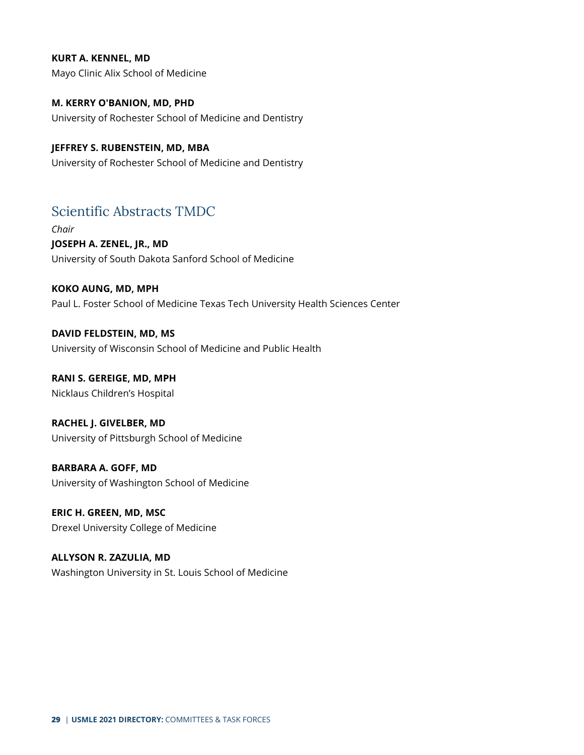#### **KURT A. KENNEL, MD**

Mayo Clinic Alix School of Medicine

**M. KERRY O'BANION, MD, PHD** University of Rochester School of Medicine and Dentistry

#### **JEFFREY S. RUBENSTEIN, MD, MBA**

University of Rochester School of Medicine and Dentistry

## <span id="page-28-0"></span>Scientific Abstracts TMDC

*Chair* **JOSEPH A. ZENEL, JR., MD** University of South Dakota Sanford School of Medicine

#### **KOKO AUNG, MD, MPH**

Paul L. Foster School of Medicine Texas Tech University Health Sciences Center

**DAVID FELDSTEIN, MD, MS** University of Wisconsin School of Medicine and Public Health

**RANI S. GEREIGE, MD, MPH** Nicklaus Children's Hospital

**RACHEL J. GIVELBER, MD** University of Pittsburgh School of Medicine

**BARBARA A. GOFF, MD** University of Washington School of Medicine

**ERIC H. GREEN, MD, MSC** Drexel University College of Medicine

**ALLYSON R. ZAZULIA, MD** Washington University in St. Louis School of Medicine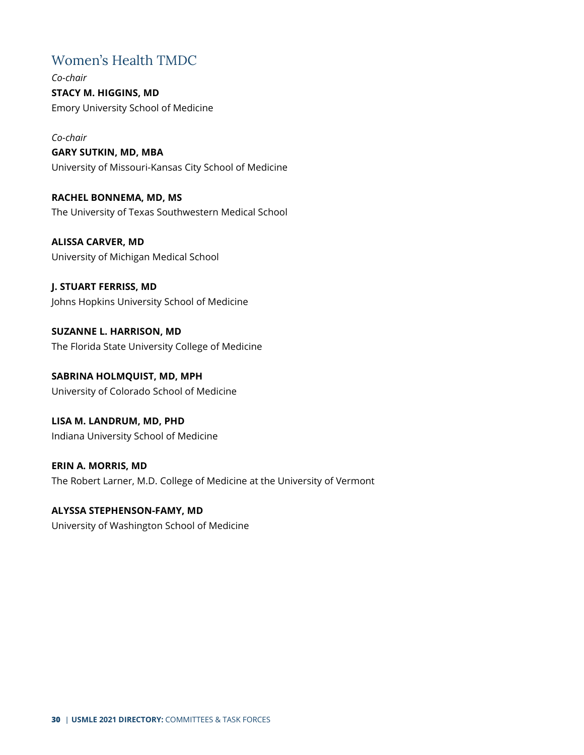## <span id="page-29-0"></span>Women's Health TMDC

*Co-chair* **STACY M. HIGGINS, MD** Emory University School of Medicine

*Co-chair* **GARY SUTKIN, MD, MBA** University of Missouri-Kansas City School of Medicine

**RACHEL BONNEMA, MD, MS** The University of Texas Southwestern Medical School

**ALISSA CARVER, MD** University of Michigan Medical School

**J. STUART FERRISS, MD** Johns Hopkins University School of Medicine

**SUZANNE L. HARRISON, MD** The Florida State University College of Medicine

**SABRINA HOLMQUIST, MD, MPH** University of Colorado School of Medicine

**LISA M. LANDRUM, MD, PHD** Indiana University School of Medicine

**ERIN A. MORRIS, MD** The Robert Larner, M.D. College of Medicine at the University of Vermont

**ALYSSA STEPHENSON-FAMY, MD** University of Washington School of Medicine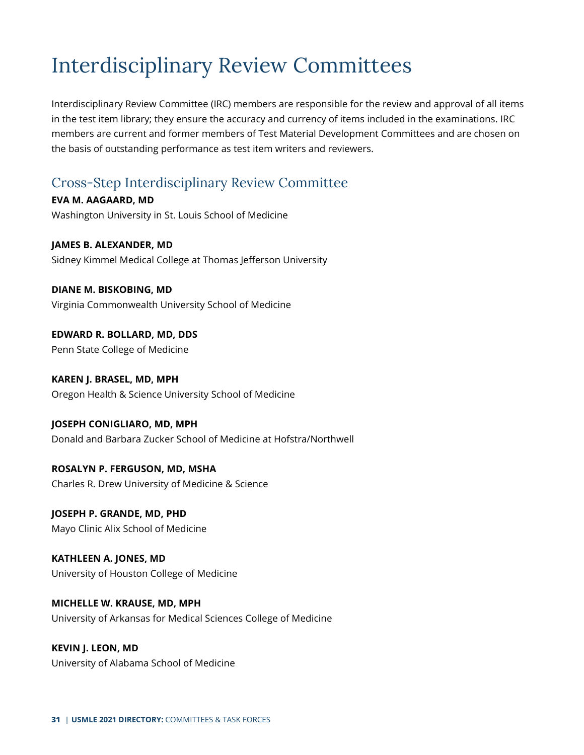## <span id="page-30-0"></span>Interdisciplinary Review Committees

Interdisciplinary Review Committee (IRC) members are responsible for the review and approval of all items in the test item library; they ensure the accuracy and currency of items included in the examinations. IRC members are current and former members of Test Material Development Committees and are chosen on the basis of outstanding performance as test item writers and reviewers.

## <span id="page-30-1"></span>Cross-Step Interdisciplinary Review Committee

**EVA M. AAGAARD, MD** Washington University in St. Louis School of Medicine

**JAMES B. ALEXANDER, MD** Sidney Kimmel Medical College at Thomas Jefferson University

**DIANE M. BISKOBING, MD** Virginia Commonwealth University School of Medicine

**EDWARD R. BOLLARD, MD, DDS** Penn State College of Medicine

**KAREN J. BRASEL, MD, MPH** Oregon Health & Science University School of Medicine

**JOSEPH CONIGLIARO, MD, MPH** Donald and Barbara Zucker School of Medicine at Hofstra/Northwell

**ROSALYN P. FERGUSON, MD, MSHA** Charles R. Drew University of Medicine & Science

**JOSEPH P. GRANDE, MD, PHD** Mayo Clinic Alix School of Medicine

**KATHLEEN A. JONES, MD** University of Houston College of Medicine

**MICHELLE W. KRAUSE, MD, MPH** University of Arkansas for Medical Sciences College of Medicine

**KEVIN J. LEON, MD** University of Alabama School of Medicine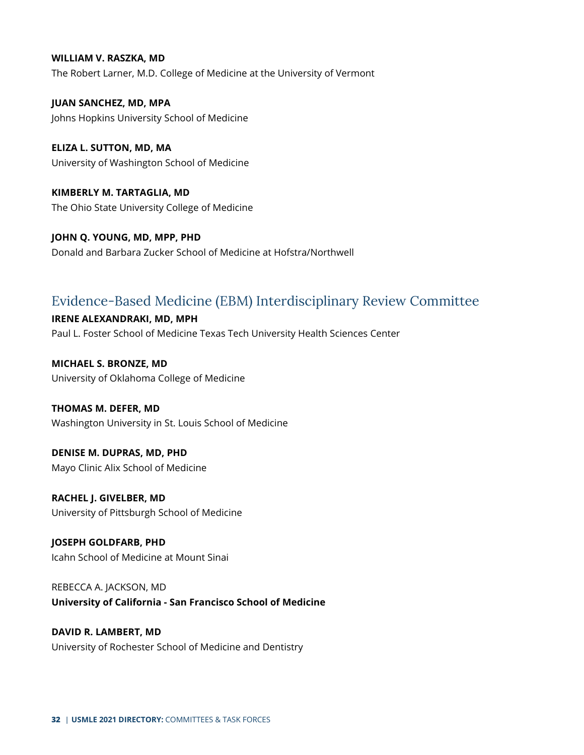#### **WILLIAM V. RASZKA, MD**

The Robert Larner, M.D. College of Medicine at the University of Vermont

**JUAN SANCHEZ, MD, MPA** Johns Hopkins University School of Medicine

**ELIZA L. SUTTON, MD, MA** University of Washington School of Medicine

**KIMBERLY M. TARTAGLIA, MD** The Ohio State University College of Medicine

**JOHN Q. YOUNG, MD, MPP, PHD** Donald and Barbara Zucker School of Medicine at Hofstra/Northwell

## <span id="page-31-0"></span>Evidence-Based Medicine (EBM) Interdisciplinary Review Committee

#### **IRENE ALEXANDRAKI, MD, MPH**

Paul L. Foster School of Medicine Texas Tech University Health Sciences Center

**MICHAEL S. BRONZE, MD** University of Oklahoma College of Medicine

#### **THOMAS M. DEFER, MD**

Washington University in St. Louis School of Medicine

**DENISE M. DUPRAS, MD, PHD** Mayo Clinic Alix School of Medicine

**RACHEL J. GIVELBER, MD** University of Pittsburgh School of Medicine

**JOSEPH GOLDFARB, PHD** Icahn School of Medicine at Mount Sinai

REBECCA A. JACKSON, MD **University of California - San Francisco School of Medicine**

#### **DAVID R. LAMBERT, MD** University of Rochester School of Medicine and Dentistry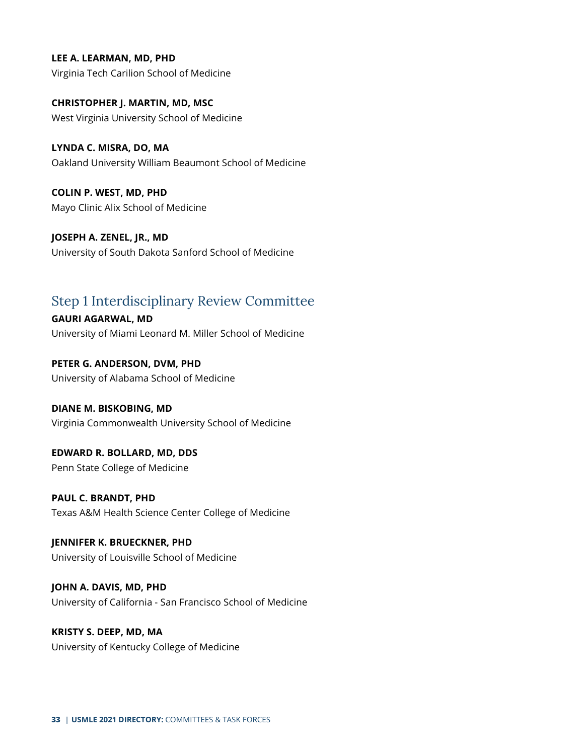**LEE A. LEARMAN, MD, PHD** Virginia Tech Carilion School of Medicine

**CHRISTOPHER J. MARTIN, MD, MSC** West Virginia University School of Medicine

**LYNDA C. MISRA, DO, MA** Oakland University William Beaumont School of Medicine

**COLIN P. WEST, MD, PHD** Mayo Clinic Alix School of Medicine

**JOSEPH A. ZENEL, JR., MD** University of South Dakota Sanford School of Medicine

## <span id="page-32-0"></span>Step 1 Interdisciplinary Review Committee

**GAURI AGARWAL, MD** University of Miami Leonard M. Miller School of Medicine

**PETER G. ANDERSON, DVM, PHD** University of Alabama School of Medicine

**DIANE M. BISKOBING, MD** Virginia Commonwealth University School of Medicine

**EDWARD R. BOLLARD, MD, DDS** Penn State College of Medicine

**PAUL C. BRANDT, PHD** Texas A&M Health Science Center College of Medicine

**JENNIFER K. BRUECKNER, PHD** University of Louisville School of Medicine

**JOHN A. DAVIS, MD, PHD** University of California - San Francisco School of Medicine

**KRISTY S. DEEP, MD, MA** University of Kentucky College of Medicine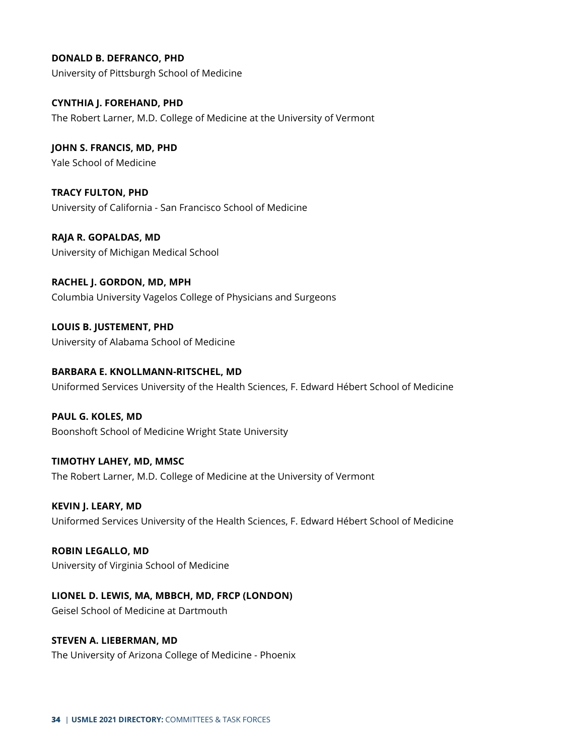**DONALD B. DEFRANCO, PHD** University of Pittsburgh School of Medicine

**CYNTHIA J. FOREHAND, PHD** The Robert Larner, M.D. College of Medicine at the University of Vermont

**JOHN S. FRANCIS, MD, PHD** Yale School of Medicine

**TRACY FULTON, PHD** University of California - San Francisco School of Medicine

**RAJA R. GOPALDAS, MD** University of Michigan Medical School

**RACHEL J. GORDON, MD, MPH** Columbia University Vagelos College of Physicians and Surgeons

**LOUIS B. JUSTEMENT, PHD** University of Alabama School of Medicine

**BARBARA E. KNOLLMANN-RITSCHEL, MD** Uniformed Services University of the Health Sciences, F. Edward Hébert School of Medicine

**PAUL G. KOLES, MD** Boonshoft School of Medicine Wright State University

**TIMOTHY LAHEY, MD, MMSC** The Robert Larner, M.D. College of Medicine at the University of Vermont

**KEVIN J. LEARY, MD** Uniformed Services University of the Health Sciences, F. Edward Hébert School of Medicine

**ROBIN LEGALLO, MD** University of Virginia School of Medicine

**LIONEL D. LEWIS, MA, MBBCH, MD, FRCP (LONDON)** Geisel School of Medicine at Dartmouth

**STEVEN A. LIEBERMAN, MD**

The University of Arizona College of Medicine - Phoenix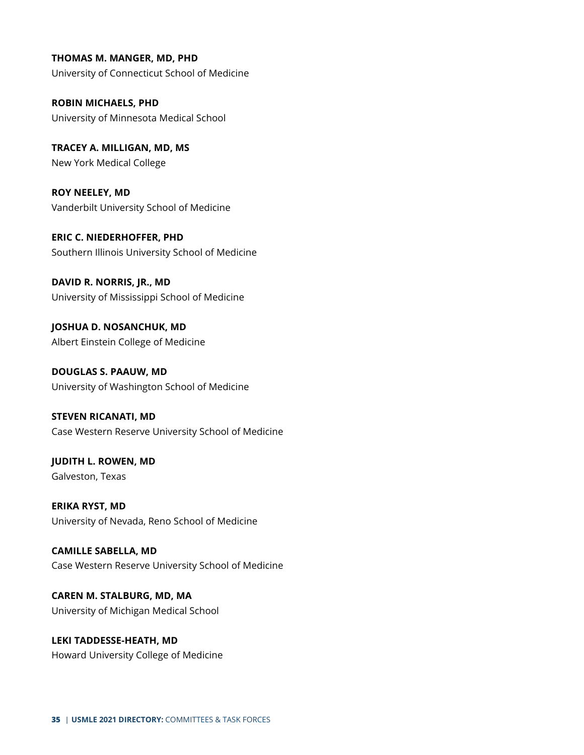**THOMAS M. MANGER, MD, PHD** University of Connecticut School of Medicine

**ROBIN MICHAELS, PHD** University of Minnesota Medical School

**TRACEY A. MILLIGAN, MD, MS** New York Medical College

**ROY NEELEY, MD** Vanderbilt University School of Medicine

**ERIC C. NIEDERHOFFER, PHD** Southern Illinois University School of Medicine

**DAVID R. NORRIS, JR., MD** University of Mississippi School of Medicine

**JOSHUA D. NOSANCHUK, MD** Albert Einstein College of Medicine

**DOUGLAS S. PAAUW, MD** University of Washington School of Medicine

**STEVEN RICANATI, MD** Case Western Reserve University School of Medicine

**JUDITH L. ROWEN, MD** Galveston, Texas

**ERIKA RYST, MD** University of Nevada, Reno School of Medicine

**CAMILLE SABELLA, MD** Case Western Reserve University School of Medicine

**CAREN M. STALBURG, MD, MA** University of Michigan Medical School

**LEKI TADDESSE-HEATH, MD** Howard University College of Medicine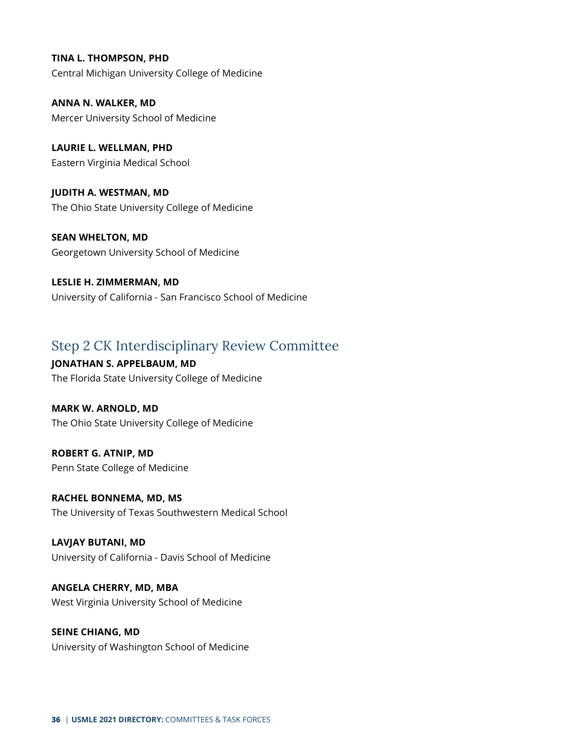**TINA L. THOMPSON, PHD** Central Michigan University College of Medicine

**ANNA N. WALKER, MD** Mercer University School of Medicine

**LAURIE L. WELLMAN, PHD** Eastern Virginia Medical School

**JUDITH A. WESTMAN, MD** The Ohio State University College of Medicine

**SEAN WHELTON, MD** Georgetown University School of Medicine

**LESLIE H. ZIMMERMAN, MD** University of California - San Francisco School of Medicine

## <span id="page-35-0"></span>Step 2 CK Interdisciplinary Review Committee

**JONATHAN S. APPELBAUM, MD** The Florida State University College of Medicine

**MARK W. ARNOLD, MD** The Ohio State University College of Medicine

**ROBERT G. ATNIP, MD** Penn State College of Medicine

**RACHEL BONNEMA, MD, MS** The University of Texas Southwestern Medical School

**LAVJAY BUTANI, MD** University of California - Davis School of Medicine

**ANGELA CHERRY, MD, MBA** West Virginia University School of Medicine

**SEINE CHIANG, MD** University of Washington School of Medicine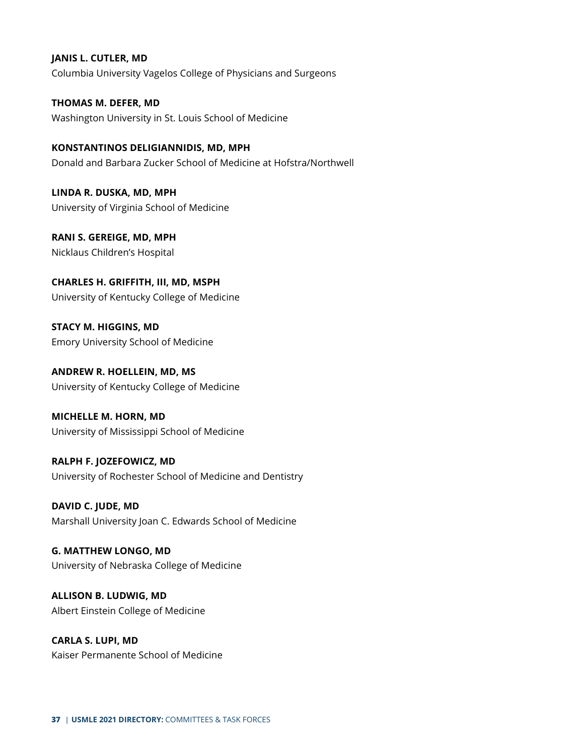#### **JANIS L. CUTLER, MD**

Columbia University Vagelos College of Physicians and Surgeons

**THOMAS M. DEFER, MD** Washington University in St. Louis School of Medicine

**KONSTANTINOS DELIGIANNIDIS, MD, MPH** Donald and Barbara Zucker School of Medicine at Hofstra/Northwell

**LINDA R. DUSKA, MD, MPH** University of Virginia School of Medicine

**RANI S. GEREIGE, MD, MPH** Nicklaus Children's Hospital

**CHARLES H. GRIFFITH, III, MD, MSPH** University of Kentucky College of Medicine

**STACY M. HIGGINS, MD** Emory University School of Medicine

**ANDREW R. HOELLEIN, MD, MS** University of Kentucky College of Medicine

**MICHELLE M. HORN, MD** University of Mississippi School of Medicine

**RALPH F. JOZEFOWICZ, MD** University of Rochester School of Medicine and Dentistry

**DAVID C. JUDE, MD** Marshall University Joan C. Edwards School of Medicine

**G. MATTHEW LONGO, MD** University of Nebraska College of Medicine

**ALLISON B. LUDWIG, MD** Albert Einstein College of Medicine

**CARLA S. LUPI, MD** Kaiser Permanente School of Medicine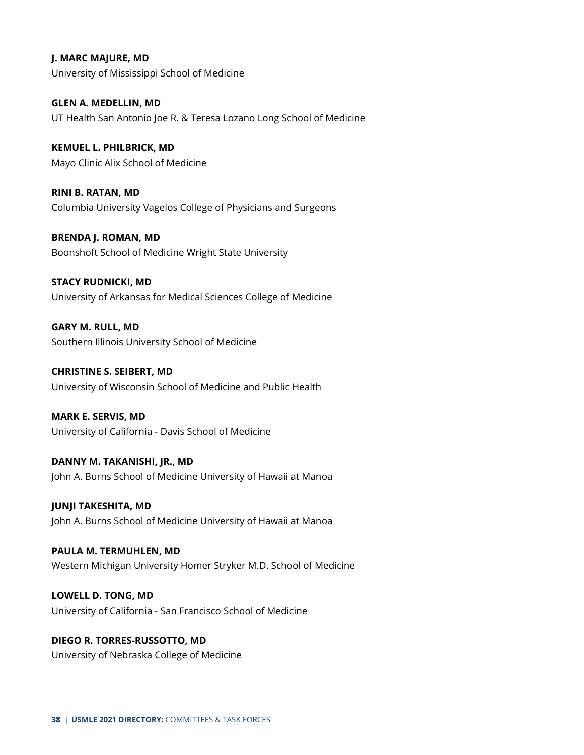**J. MARC MAJURE, MD** University of Mississippi School of Medicine

**GLEN A. MEDELLIN, MD** UT Health San Antonio Joe R. & Teresa Lozano Long School of Medicine

**KEMUEL L. PHILBRICK, MD** Mayo Clinic Alix School of Medicine

**RINI B. RATAN, MD** Columbia University Vagelos College of Physicians and Surgeons

**BRENDA J. ROMAN, MD** Boonshoft School of Medicine Wright State University

**STACY RUDNICKI, MD** University of Arkansas for Medical Sciences College of Medicine

**GARY M. RULL, MD** Southern Illinois University School of Medicine

**CHRISTINE S. SEIBERT, MD** University of Wisconsin School of Medicine and Public Health

**MARK E. SERVIS, MD** University of California - Davis School of Medicine

**DANNY M. TAKANISHI, JR., MD** John A. Burns School of Medicine University of Hawaii at Manoa

**JUNJI TAKESHITA, MD** John A. Burns School of Medicine University of Hawaii at Manoa

**PAULA M. TERMUHLEN, MD** Western Michigan University Homer Stryker M.D. School of Medicine

**LOWELL D. TONG, MD** University of California - San Francisco School of Medicine

**DIEGO R. TORRES-RUSSOTTO, MD** University of Nebraska College of Medicine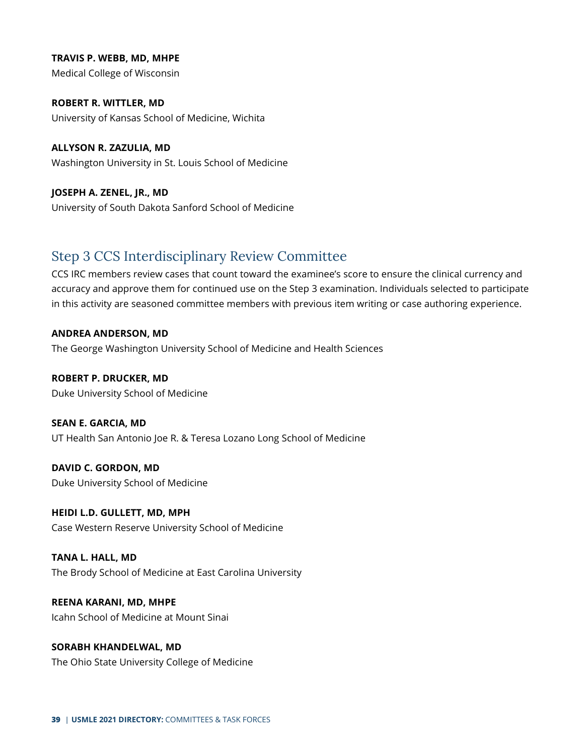**TRAVIS P. WEBB, MD, MHPE** Medical College of Wisconsin

**ROBERT R. WITTLER, MD** University of Kansas School of Medicine, Wichita

**ALLYSON R. ZAZULIA, MD** Washington University in St. Louis School of Medicine

**JOSEPH A. ZENEL, JR., MD** University of South Dakota Sanford School of Medicine

## <span id="page-38-0"></span>Step 3 CCS Interdisciplinary Review Committee

CCS IRC members review cases that count toward the examinee's score to ensure the clinical currency and accuracy and approve them for continued use on the Step 3 examination. Individuals selected to participate in this activity are seasoned committee members with previous item writing or case authoring experience.

**ANDREA ANDERSON, MD** The George Washington University School of Medicine and Health Sciences

**ROBERT P. DRUCKER, MD** Duke University School of Medicine

**SEAN E. GARCIA, MD** UT Health San Antonio Joe R. & Teresa Lozano Long School of Medicine

**DAVID C. GORDON, MD** Duke University School of Medicine

**HEIDI L.D. GULLETT, MD, MPH** Case Western Reserve University School of Medicine

**TANA L. HALL, MD** The Brody School of Medicine at East Carolina University

**REENA KARANI, MD, MHPE** Icahn School of Medicine at Mount Sinai

**SORABH KHANDELWAL, MD** The Ohio State University College of Medicine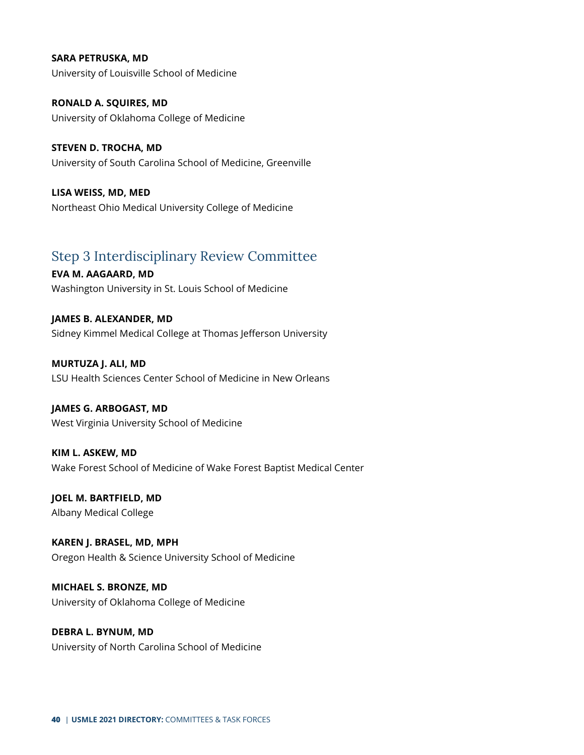**SARA PETRUSKA, MD** University of Louisville School of Medicine

**RONALD A. SQUIRES, MD** University of Oklahoma College of Medicine

**STEVEN D. TROCHA, MD** University of South Carolina School of Medicine, Greenville

**LISA WEISS, MD, MED** Northeast Ohio Medical University College of Medicine

## <span id="page-39-0"></span>Step 3 Interdisciplinary Review Committee

**EVA M. AAGAARD, MD** Washington University in St. Louis School of Medicine

**JAMES B. ALEXANDER, MD** Sidney Kimmel Medical College at Thomas Jefferson University

**MURTUZA J. ALI, MD** LSU Health Sciences Center School of Medicine in New Orleans

**JAMES G. ARBOGAST, MD** West Virginia University School of Medicine

**KIM L. ASKEW, MD** Wake Forest School of Medicine of Wake Forest Baptist Medical Center

**JOEL M. BARTFIELD, MD** Albany Medical College

**KAREN J. BRASEL, MD, MPH** Oregon Health & Science University School of Medicine

**MICHAEL S. BRONZE, MD** University of Oklahoma College of Medicine

**DEBRA L. BYNUM, MD** University of North Carolina School of Medicine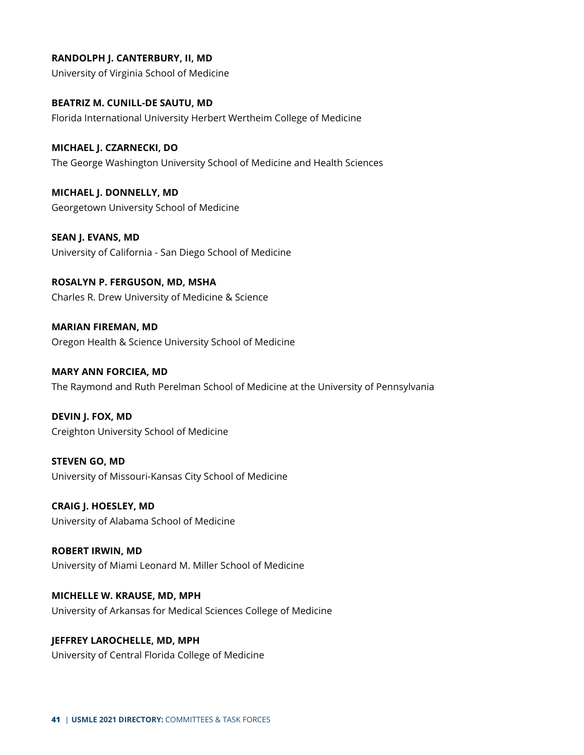**RANDOLPH J. CANTERBURY, II, MD**

University of Virginia School of Medicine

**BEATRIZ M. CUNILL-DE SAUTU, MD** Florida International University Herbert Wertheim College of Medicine

**MICHAEL J. CZARNECKI, DO** The George Washington University School of Medicine and Health Sciences

**MICHAEL J. DONNELLY, MD** Georgetown University School of Medicine

**SEAN J. EVANS, MD** University of California - San Diego School of Medicine

**ROSALYN P. FERGUSON, MD, MSHA** Charles R. Drew University of Medicine & Science

**MARIAN FIREMAN, MD** Oregon Health & Science University School of Medicine

**MARY ANN FORCIEA, MD** The Raymond and Ruth Perelman School of Medicine at the University of Pennsylvania

**DEVIN J. FOX, MD** Creighton University School of Medicine

**STEVEN GO, MD** University of Missouri-Kansas City School of Medicine

**CRAIG J. HOESLEY, MD** University of Alabama School of Medicine

**ROBERT IRWIN, MD** University of Miami Leonard M. Miller School of Medicine

**MICHELLE W. KRAUSE, MD, MPH** University of Arkansas for Medical Sciences College of Medicine

**JEFFREY LAROCHELLE, MD, MPH** University of Central Florida College of Medicine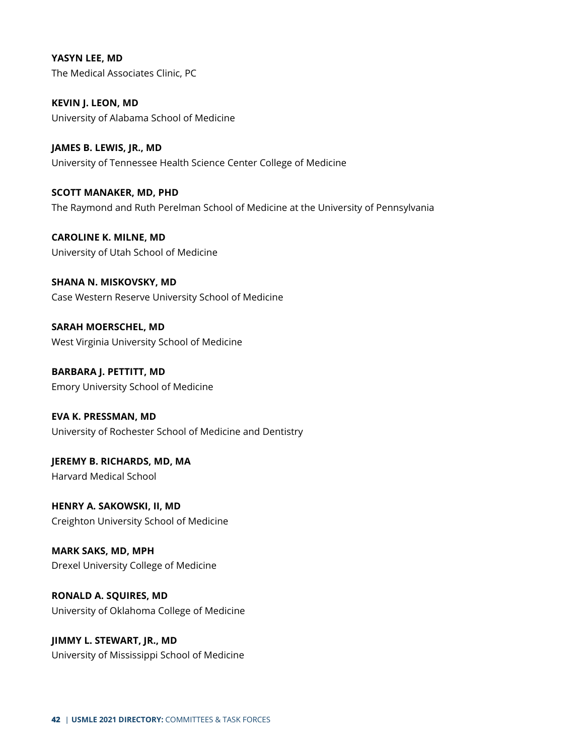**YASYN LEE, MD** The Medical Associates Clinic, PC

**KEVIN J. LEON, MD** University of Alabama School of Medicine

**JAMES B. LEWIS, JR., MD** University of Tennessee Health Science Center College of Medicine

**SCOTT MANAKER, MD, PHD** The Raymond and Ruth Perelman School of Medicine at the University of Pennsylvania

**CAROLINE K. MILNE, MD** University of Utah School of Medicine

**SHANA N. MISKOVSKY, MD** Case Western Reserve University School of Medicine

**SARAH MOERSCHEL, MD** West Virginia University School of Medicine

**BARBARA J. PETTITT, MD** Emory University School of Medicine

**EVA K. PRESSMAN, MD** University of Rochester School of Medicine and Dentistry

**JEREMY B. RICHARDS, MD, MA** Harvard Medical School

**HENRY A. SAKOWSKI, II, MD** Creighton University School of Medicine

**MARK SAKS, MD, MPH** Drexel University College of Medicine

**RONALD A. SQUIRES, MD** University of Oklahoma College of Medicine

**JIMMY L. STEWART, JR., MD** University of Mississippi School of Medicine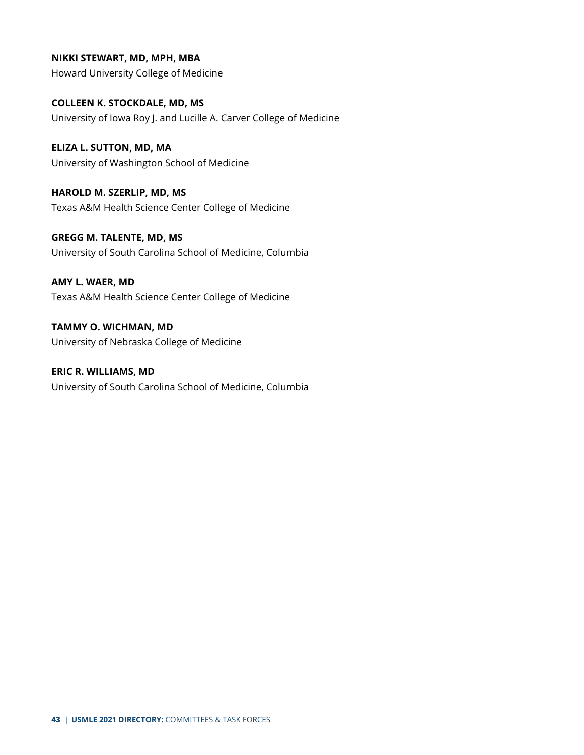**NIKKI STEWART, MD, MPH, MBA** Howard University College of Medicine

**COLLEEN K. STOCKDALE, MD, MS** University of Iowa Roy J. and Lucille A. Carver College of Medicine

**ELIZA L. SUTTON, MD, MA** University of Washington School of Medicine

**HAROLD M. SZERLIP, MD, MS** Texas A&M Health Science Center College of Medicine

**GREGG M. TALENTE, MD, MS** University of South Carolina School of Medicine, Columbia

**AMY L. WAER, MD** Texas A&M Health Science Center College of Medicine

**TAMMY O. WICHMAN, MD** University of Nebraska College of Medicine

**ERIC R. WILLIAMS, MD** University of South Carolina School of Medicine, Columbia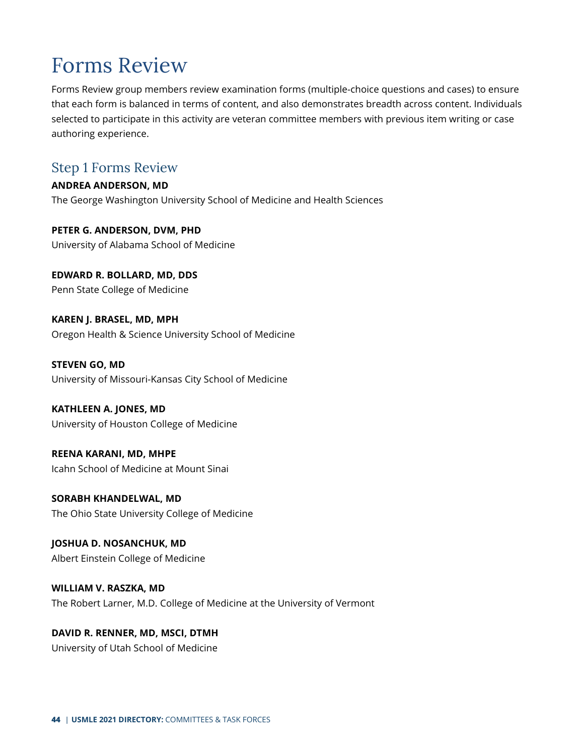## <span id="page-43-0"></span>Forms Review

Forms Review group members review examination forms (multiple-choice questions and cases) to ensure that each form is balanced in terms of content, and also demonstrates breadth across content. Individuals selected to participate in this activity are veteran committee members with previous item writing or case authoring experience.

## <span id="page-43-1"></span>Step 1 Forms Review

**ANDREA ANDERSON, MD** The George Washington University School of Medicine and Health Sciences

**PETER G. ANDERSON, DVM, PHD** University of Alabama School of Medicine

**EDWARD R. BOLLARD, MD, DDS** Penn State College of Medicine

**KAREN J. BRASEL, MD, MPH** Oregon Health & Science University School of Medicine

**STEVEN GO, MD** University of Missouri-Kansas City School of Medicine

**KATHLEEN A. JONES, MD** University of Houston College of Medicine

**REENA KARANI, MD, MHPE** Icahn School of Medicine at Mount Sinai

**SORABH KHANDELWAL, MD** The Ohio State University College of Medicine

**JOSHUA D. NOSANCHUK, MD** Albert Einstein College of Medicine

**WILLIAM V. RASZKA, MD** The Robert Larner, M.D. College of Medicine at the University of Vermont

**DAVID R. RENNER, MD, MSCI, DTMH** University of Utah School of Medicine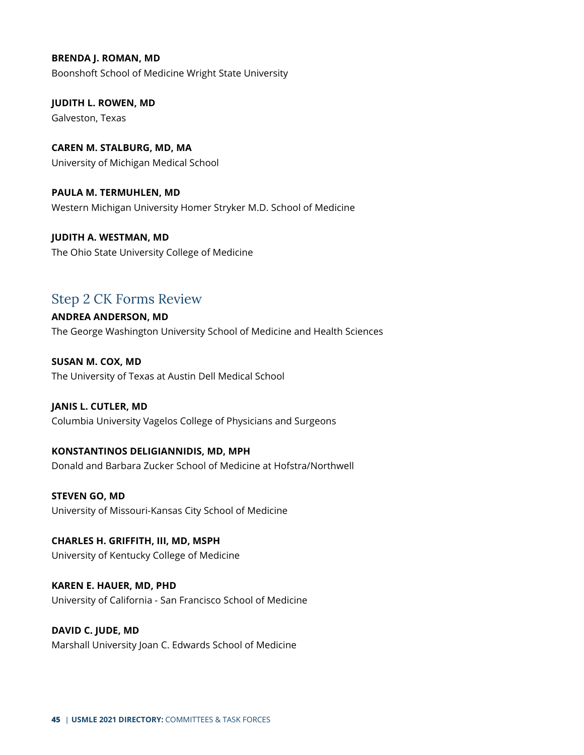**BRENDA J. ROMAN, MD** Boonshoft School of Medicine Wright State University

**JUDITH L. ROWEN, MD** Galveston, Texas

**CAREN M. STALBURG, MD, MA** University of Michigan Medical School

**PAULA M. TERMUHLEN, MD** Western Michigan University Homer Stryker M.D. School of Medicine

**JUDITH A. WESTMAN, MD** The Ohio State University College of Medicine

## <span id="page-44-0"></span>Step 2 CK Forms Review

**ANDREA ANDERSON, MD** The George Washington University School of Medicine and Health Sciences

**SUSAN M. COX, MD** The University of Texas at Austin Dell Medical School

### **JANIS L. CUTLER, MD**

Columbia University Vagelos College of Physicians and Surgeons

### **KONSTANTINOS DELIGIANNIDIS, MD, MPH**

Donald and Barbara Zucker School of Medicine at Hofstra/Northwell

**STEVEN GO, MD** University of Missouri-Kansas City School of Medicine

**CHARLES H. GRIFFITH, III, MD, MSPH** University of Kentucky College of Medicine

**KAREN E. HAUER, MD, PHD** University of California - San Francisco School of Medicine

**DAVID C. JUDE, MD** Marshall University Joan C. Edwards School of Medicine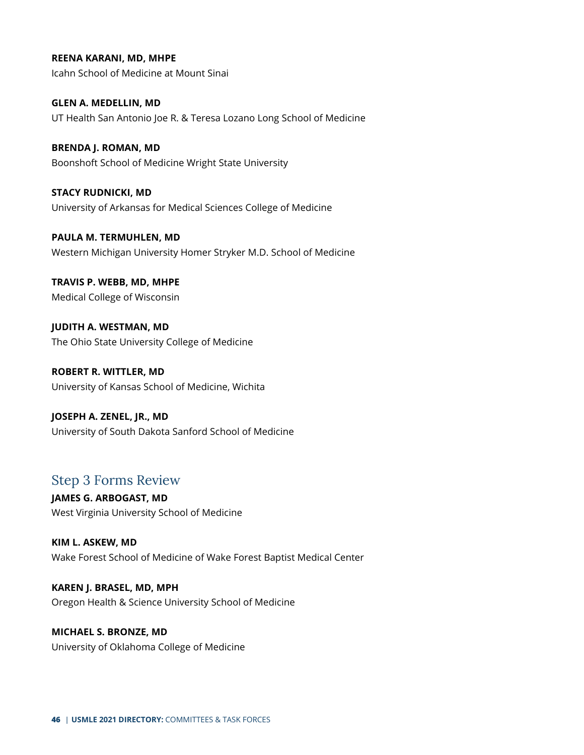**REENA KARANI, MD, MHPE**

Icahn School of Medicine at Mount Sinai

**GLEN A. MEDELLIN, MD** UT Health San Antonio Joe R. & Teresa Lozano Long School of Medicine

**BRENDA J. ROMAN, MD** Boonshoft School of Medicine Wright State University

**STACY RUDNICKI, MD** University of Arkansas for Medical Sciences College of Medicine

**PAULA M. TERMUHLEN, MD** Western Michigan University Homer Stryker M.D. School of Medicine

**TRAVIS P. WEBB, MD, MHPE** Medical College of Wisconsin

**JUDITH A. WESTMAN, MD** The Ohio State University College of Medicine

**ROBERT R. WITTLER, MD** University of Kansas School of Medicine, Wichita

**JOSEPH A. ZENEL, JR., MD** University of South Dakota Sanford School of Medicine

## <span id="page-45-0"></span>Step 3 Forms Review

**JAMES G. ARBOGAST, MD** West Virginia University School of Medicine

**KIM L. ASKEW, MD** Wake Forest School of Medicine of Wake Forest Baptist Medical Center

**KAREN J. BRASEL, MD, MPH** Oregon Health & Science University School of Medicine

**MICHAEL S. BRONZE, MD** University of Oklahoma College of Medicine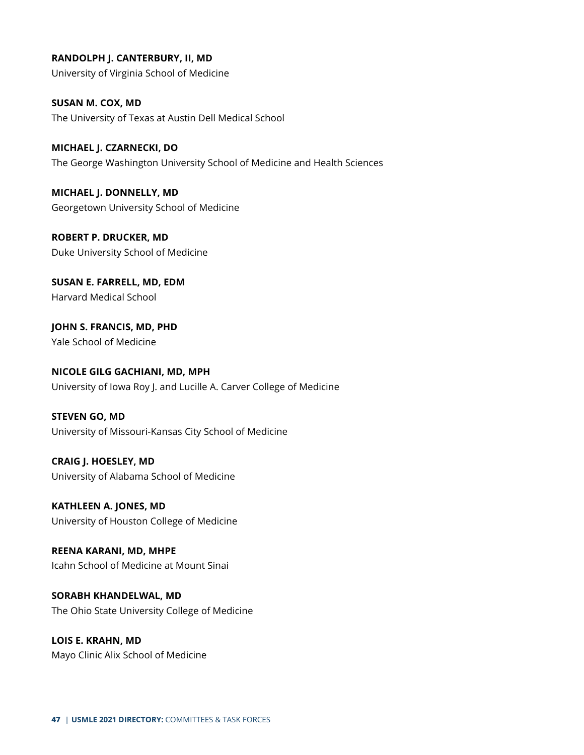**RANDOLPH J. CANTERBURY, II, MD** University of Virginia School of Medicine

**SUSAN M. COX, MD** The University of Texas at Austin Dell Medical School

**MICHAEL J. CZARNECKI, DO** The George Washington University School of Medicine and Health Sciences

**MICHAEL J. DONNELLY, MD** Georgetown University School of Medicine

**ROBERT P. DRUCKER, MD** Duke University School of Medicine

**SUSAN E. FARRELL, MD, EDM** Harvard Medical School

**JOHN S. FRANCIS, MD, PHD** Yale School of Medicine

**NICOLE GILG GACHIANI, MD, MPH** University of Iowa Roy J. and Lucille A. Carver College of Medicine

**STEVEN GO, MD** University of Missouri-Kansas City School of Medicine

**CRAIG J. HOESLEY, MD** University of Alabama School of Medicine

**KATHLEEN A. JONES, MD** University of Houston College of Medicine

**REENA KARANI, MD, MHPE** Icahn School of Medicine at Mount Sinai

**SORABH KHANDELWAL, MD** The Ohio State University College of Medicine

**LOIS E. KRAHN, MD** Mayo Clinic Alix School of Medicine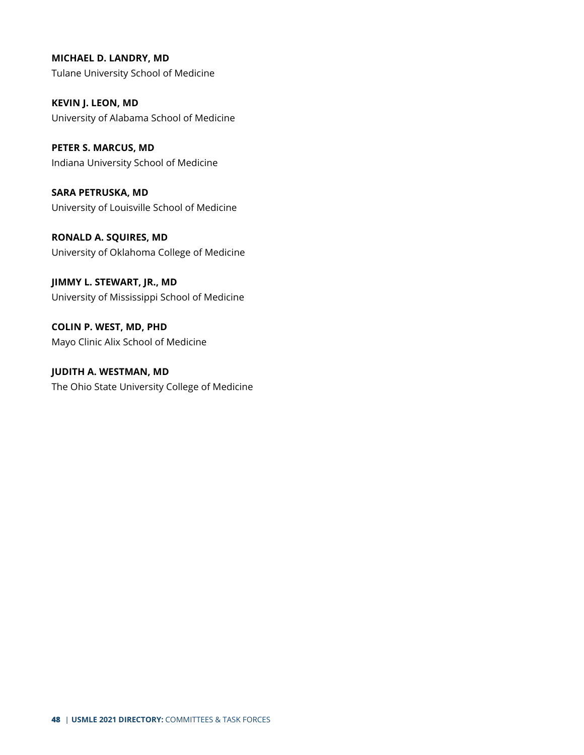## **MICHAEL D. LANDRY, MD**

Tulane University School of Medicine

**KEVIN J. LEON, MD** University of Alabama School of Medicine

**PETER S. MARCUS, MD** Indiana University School of Medicine

**SARA PETRUSKA, MD** University of Louisville School of Medicine

**RONALD A. SQUIRES, MD** University of Oklahoma College of Medicine

**JIMMY L. STEWART, JR., MD** University of Mississippi School of Medicine

**COLIN P. WEST, MD, PHD** Mayo Clinic Alix School of Medicine

**JUDITH A. WESTMAN, MD** The Ohio State University College of Medicine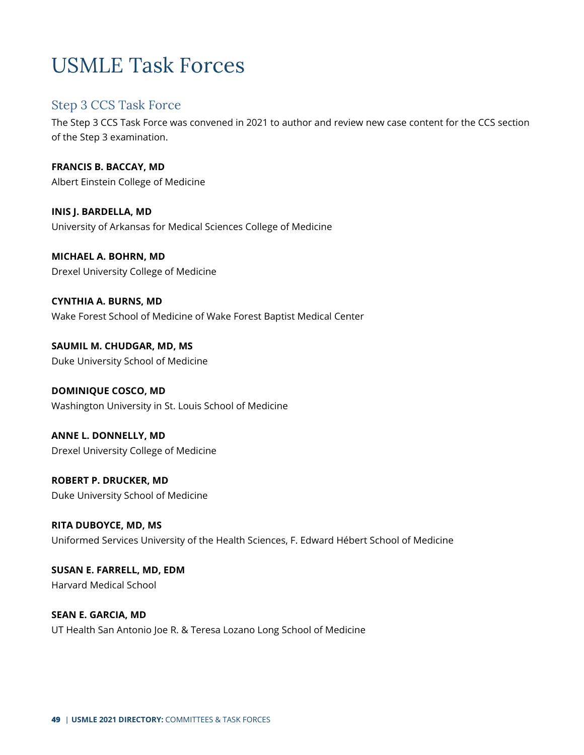## <span id="page-48-0"></span>USMLE Task Forces

### <span id="page-48-1"></span>Step 3 CCS Task Force

The Step 3 CCS Task Force was convened in 2021 to author and review new case content for the CCS section of the Step 3 examination.

**FRANCIS B. BACCAY, MD** Albert Einstein College of Medicine

**INIS J. BARDELLA, MD** University of Arkansas for Medical Sciences College of Medicine

**MICHAEL A. BOHRN, MD** Drexel University College of Medicine

**CYNTHIA A. BURNS, MD** Wake Forest School of Medicine of Wake Forest Baptist Medical Center

**SAUMIL M. CHUDGAR, MD, MS** Duke University School of Medicine

**DOMINIQUE COSCO, MD** Washington University in St. Louis School of Medicine

**ANNE L. DONNELLY, MD** Drexel University College of Medicine

**ROBERT P. DRUCKER, MD** Duke University School of Medicine

**RITA DUBOYCE, MD, MS** Uniformed Services University of the Health Sciences, F. Edward Hébert School of Medicine

**SUSAN E. FARRELL, MD, EDM** Harvard Medical School

**SEAN E. GARCIA, MD** UT Health San Antonio Joe R. & Teresa Lozano Long School of Medicine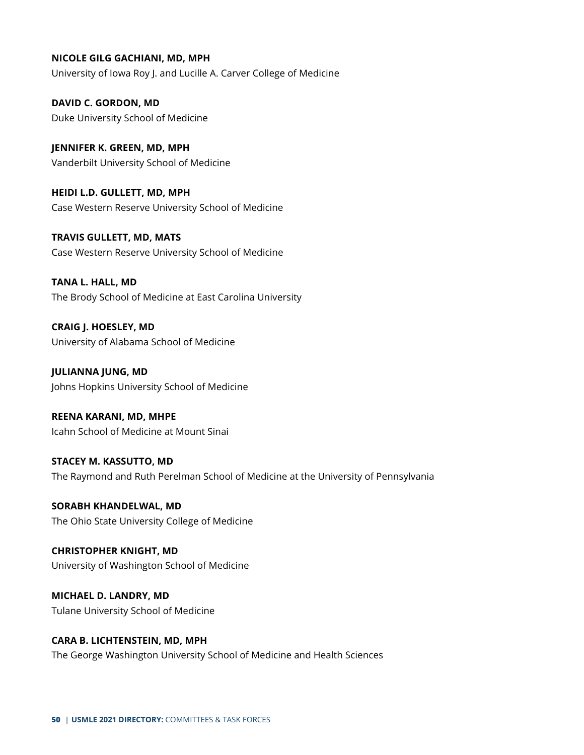#### **NICOLE GILG GACHIANI, MD, MPH**

University of Iowa Roy J. and Lucille A. Carver College of Medicine

**DAVID C. GORDON, MD** Duke University School of Medicine

**JENNIFER K. GREEN, MD, MPH** Vanderbilt University School of Medicine

**HEIDI L.D. GULLETT, MD, MPH** Case Western Reserve University School of Medicine

**TRAVIS GULLETT, MD, MATS** Case Western Reserve University School of Medicine

**TANA L. HALL, MD** The Brody School of Medicine at East Carolina University

**CRAIG J. HOESLEY, MD** University of Alabama School of Medicine

**JULIANNA JUNG, MD** Johns Hopkins University School of Medicine

**REENA KARANI, MD, MHPE** Icahn School of Medicine at Mount Sinai

**STACEY M. KASSUTTO, MD** The Raymond and Ruth Perelman School of Medicine at the University of Pennsylvania

**SORABH KHANDELWAL, MD** The Ohio State University College of Medicine

**CHRISTOPHER KNIGHT, MD** University of Washington School of Medicine

**MICHAEL D. LANDRY, MD** Tulane University School of Medicine

**CARA B. LICHTENSTEIN, MD, MPH** The George Washington University School of Medicine and Health Sciences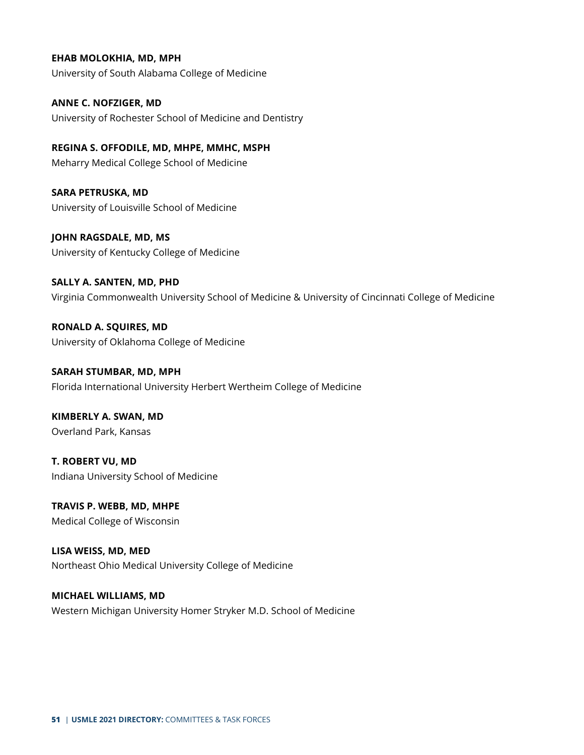#### **EHAB MOLOKHIA, MD, MPH**

University of South Alabama College of Medicine

**ANNE C. NOFZIGER, MD** University of Rochester School of Medicine and Dentistry

**REGINA S. OFFODILE, MD, MHPE, MMHC, MSPH** Meharry Medical College School of Medicine

**SARA PETRUSKA, MD** University of Louisville School of Medicine

**JOHN RAGSDALE, MD, MS** University of Kentucky College of Medicine

**SALLY A. SANTEN, MD, PHD** Virginia Commonwealth University School of Medicine & University of Cincinnati College of Medicine

**RONALD A. SQUIRES, MD** University of Oklahoma College of Medicine

**SARAH STUMBAR, MD, MPH** Florida International University Herbert Wertheim College of Medicine

**KIMBERLY A. SWAN, MD** Overland Park, Kansas

**T. ROBERT VU, MD** Indiana University School of Medicine

**TRAVIS P. WEBB, MD, MHPE** Medical College of Wisconsin

**LISA WEISS, MD, MED** Northeast Ohio Medical University College of Medicine

**MICHAEL WILLIAMS, MD** Western Michigan University Homer Stryker M.D. School of Medicine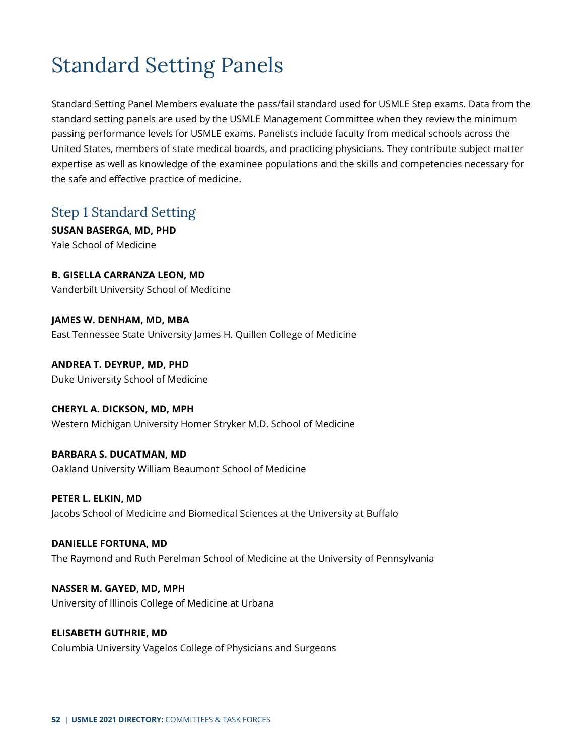## <span id="page-51-0"></span>Standard Setting Panels

Standard Setting Panel Members evaluate the pass/fail standard used for USMLE Step exams. Data from the standard setting panels are used by the USMLE Management Committee when they review the minimum passing performance levels for USMLE exams. Panelists include faculty from medical schools across the United States, members of state medical boards, and practicing physicians. They contribute subject matter expertise as well as knowledge of the examinee populations and the skills and competencies necessary for the safe and effective practice of medicine.

## <span id="page-51-1"></span>Step 1 Standard Setting

**SUSAN BASERGA, MD, PHD** Yale School of Medicine

**B. GISELLA CARRANZA LEON, MD** Vanderbilt University School of Medicine

**JAMES W. DENHAM, MD, MBA** East Tennessee State University James H. Quillen College of Medicine

**ANDREA T. DEYRUP, MD, PHD** Duke University School of Medicine

#### **CHERYL A. DICKSON, MD, MPH**

Western Michigan University Homer Stryker M.D. School of Medicine

#### **BARBARA S. DUCATMAN, MD**

Oakland University William Beaumont School of Medicine

#### **PETER L. ELKIN, MD**

Jacobs School of Medicine and Biomedical Sciences at the University at Buffalo

#### **DANIELLE FORTUNA, MD**

The Raymond and Ruth Perelman School of Medicine at the University of Pennsylvania

**NASSER M. GAYED, MD, MPH** University of Illinois College of Medicine at Urbana

#### **ELISABETH GUTHRIE, MD**

Columbia University Vagelos College of Physicians and Surgeons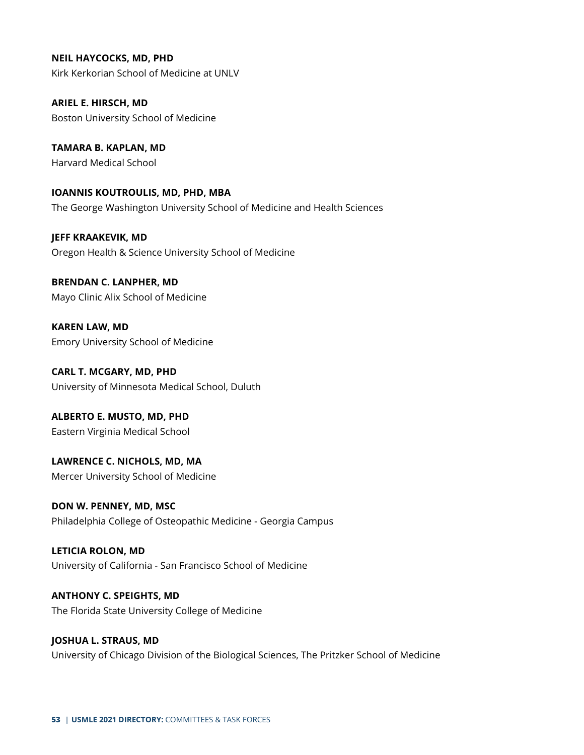**NEIL HAYCOCKS, MD, PHD**

Kirk Kerkorian School of Medicine at UNLV

**ARIEL E. HIRSCH, MD** Boston University School of Medicine

**TAMARA B. KAPLAN, MD** Harvard Medical School

**IOANNIS KOUTROULIS, MD, PHD, MBA** The George Washington University School of Medicine and Health Sciences

**JEFF KRAAKEVIK, MD** Oregon Health & Science University School of Medicine

**BRENDAN C. LANPHER, MD** Mayo Clinic Alix School of Medicine

**KAREN LAW, MD** Emory University School of Medicine

**CARL T. MCGARY, MD, PHD** University of Minnesota Medical School, Duluth

**ALBERTO E. MUSTO, MD, PHD** Eastern Virginia Medical School

**LAWRENCE C. NICHOLS, MD, MA** Mercer University School of Medicine

**DON W. PENNEY, MD, MSC** Philadelphia College of Osteopathic Medicine - Georgia Campus

**LETICIA ROLON, MD** University of California - San Francisco School of Medicine

**ANTHONY C. SPEIGHTS, MD** The Florida State University College of Medicine

**JOSHUA L. STRAUS, MD** University of Chicago Division of the Biological Sciences, The Pritzker School of Medicine